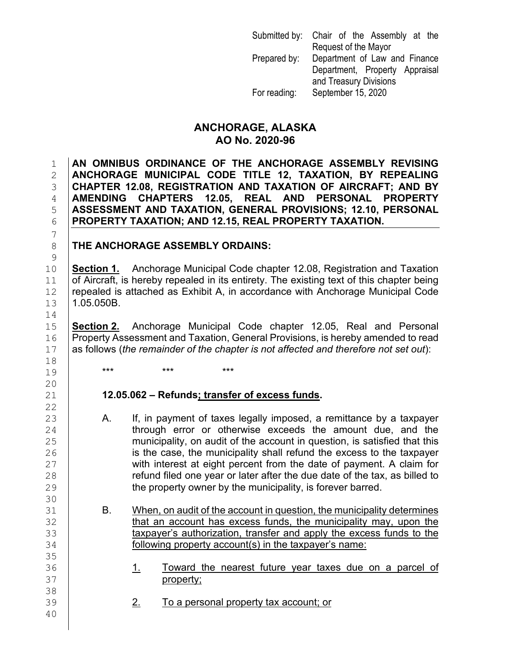|              | Submitted by: Chair of the Assembly at the |
|--------------|--------------------------------------------|
|              | Request of the Mayor                       |
| Prepared by: | Department of Law and Finance              |
|              | Department, Property Appraisal             |
|              | and Treasury Divisions                     |
| For reading: | September 15, 2020                         |

### **ANCHORAGE, ALASKA AO No. 2020-96**

 **AN OMNIBUS ORDINANCE OF THE ANCHORAGE ASSEMBLY REVISING ANCHORAGE MUNICIPAL CODE TITLE 12, TAXATION, BY REPEALING CHAPTER 12.08, REGISTRATION AND TAXATION OF AIRCRAFT; AND BY REAL AND PERSONAL PROPERTY ASSESSMENT AND TAXATION, GENERAL PROVISIONS; 12.10, PERSONAL PROPERTY TAXATION; AND 12.15, REAL PROPERTY TAXATION.**

### 8 **THE ANCHORAGE ASSEMBLY ORDAINS:**

**Section 1.** Anchorage Municipal Code chapter 12.08, Registration and Taxation<br>11 **of Aircraft, is hereby repealed in its entirety. The existing text of this chapter being**  $\begin{array}{c|c|c|c|c|c} 11 & \text{of Aircraft, is hereby repcaled in its entirety.} \end{array}$  The existing text of this chapter being  $12 & \text{repeated is attached as Exhibit A.}$  in accordance with Anchorage Municipal Code  $\vert$  repealed is attached as Exhibit A, in accordance with Anchorage Municipal Code<br>13  $\vert$  1.05.050B. 1.05.050B.

**Section 2.** Anchorage Municipal Code chapter 12.05, Real and Personal 16 Property Assessment and Taxation, General Provisions, is hereby amended to read<br>17 as follows (the remainder of the chapter is not affected and therefore not set out): as follows (*the remainder of the chapter is not affected and therefore not set out*):

### 21 **12.05.062 – Refunds; transfer of excess funds.**

- A. If, in payment of taxes legally imposed, a remittance by a taxpayer 24 through error or otherwise exceeds the amount due, and the<br>25 municipality on audit of the account in question is satisfied that this  $25$  municipality, on audit of the account in question, is satisfied that this  $26$  $26$  is the case, the municipality shall refund the excess to the taxpayer<br> $27$  with interest at eight percent from the date of payment. A claim for  $27$  with interest at eight percent from the date of payment. A claim for  $28$ <br>28  $28$  refund filed one year or later after the due date of the tax, as billed to  $29$ <br> $129$  the property owner by the municipality, is forever barred. the property owner by the municipality, is forever barred.
- 31 B. When, on audit of the account in question, the municipality determines<br>32 **B. Containers that an account has excess funds**, the municipality may, upon the 32 that an account has excess funds, the municipality may, upon the state of the state is authorization, transfer and apply the excess funds to the 33 taxpayer's authorization, transfer and apply the excess funds to the same is the same:<br>34 following property account(s) in the taxpayer's name: following property account(s) in the taxpayer's name:
- 36 1. Toward the nearest future year taxes due on a parcel of 37 property;
	- 2. To a personal property tax account; or
- 7  $\begin{array}{c} 9 \\ 10 \end{array}$ 14<br>15 18<br>19 19 **\*\*\* \*\*\* \*\*\*** \*\*\* 20<br>21 22<br>23 30 35<br>36 38<br>39

40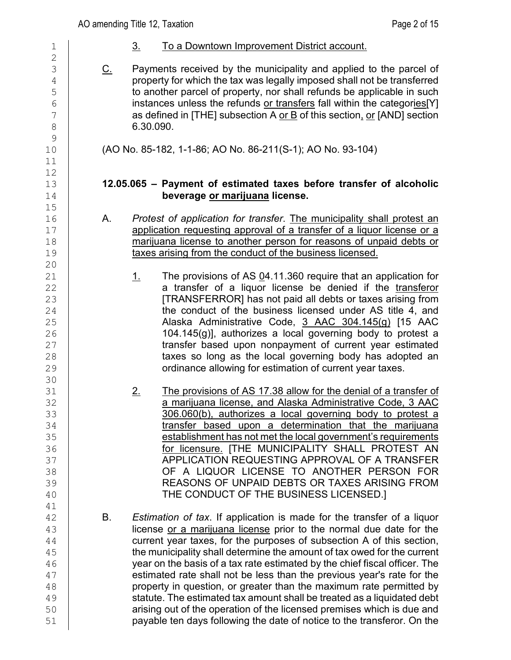| $\mathbf 1$                                                                             | $\underline{3}$ . | To a Downtown Improvement District account.                                                                                                                                                                                                                                                                                                                                                                                                                                                                                                                                                                                                                                                                                                                      |
|-----------------------------------------------------------------------------------------|-------------------|------------------------------------------------------------------------------------------------------------------------------------------------------------------------------------------------------------------------------------------------------------------------------------------------------------------------------------------------------------------------------------------------------------------------------------------------------------------------------------------------------------------------------------------------------------------------------------------------------------------------------------------------------------------------------------------------------------------------------------------------------------------|
| $\overline{2}$<br>3<br>$\overline{4}$<br>5<br>$6\phantom{a}$<br>7<br>8<br>$\mathcal{G}$ | <u>C.</u>         | Payments received by the municipality and applied to the parcel of<br>property for which the tax was legally imposed shall not be transferred<br>to another parcel of property, nor shall refunds be applicable in such<br>instances unless the refunds or transfers fall within the categories[Y]<br>as defined in [THE] subsection A or B of this section, or [AND] section<br>6.30.090.                                                                                                                                                                                                                                                                                                                                                                       |
| 10<br>11                                                                                |                   | (AO No. 85-182, 1-1-86; AO No. 86-211(S-1); AO No. 93-104)                                                                                                                                                                                                                                                                                                                                                                                                                                                                                                                                                                                                                                                                                                       |
| 12<br>13<br>14<br>15                                                                    |                   | 12.05.065 - Payment of estimated taxes before transfer of alcoholic<br>beverage or marijuana license.                                                                                                                                                                                                                                                                                                                                                                                                                                                                                                                                                                                                                                                            |
| 16<br>17<br>18<br>19<br>20<br>21                                                        | А.<br><u>1.</u>   | Protest of application for transfer. The municipality shall protest an<br>application requesting approval of a transfer of a liquor license or a<br>marijuana license to another person for reasons of unpaid debts or<br>taxes arising from the conduct of the business licensed.<br>The provisions of AS $04.11.360$ require that an application for                                                                                                                                                                                                                                                                                                                                                                                                           |
| 22<br>23<br>24<br>25<br>26<br>27<br>28<br>29<br>30                                      |                   | a transfer of a liquor license be denied if the transferor<br>[TRANSFERROR] has not paid all debts or taxes arising from<br>the conduct of the business licensed under AS title 4, and<br>Alaska Administrative Code, 3 AAC 304.145(g) [15 AAC<br>104.145(g)], authorizes a local governing body to protest a<br>transfer based upon nonpayment of current year estimated<br>taxes so long as the local governing body has adopted an<br>ordinance allowing for estimation of current year taxes.                                                                                                                                                                                                                                                                |
| 31<br>32<br>33<br>34<br>35<br>36<br>37<br>38<br>39<br>40<br>41                          | <u>2.</u>         | The provisions of AS 17.38 allow for the denial of a transfer of<br>a marijuana license, and Alaska Administrative Code, 3 AAC<br>306.060(b), authorizes a local governing body to protest a<br>transfer based upon a determination that the marijuana<br>establishment has not met the local government's requirements<br>for licensure. [THE MUNICIPALITY SHALL PROTEST AN<br>APPLICATION REQUESTING APPROVAL OF A TRANSFER<br>OF A LIQUOR LICENSE TO ANOTHER PERSON FOR<br>REASONS OF UNPAID DEBTS OR TAXES ARISING FROM<br>THE CONDUCT OF THE BUSINESS LICENSED.]                                                                                                                                                                                            |
| 42<br>43<br>44<br>45<br>46<br>47<br>48<br>49<br>50<br>51                                | В.                | Estimation of tax. If application is made for the transfer of a liquor<br>license or a marijuana license prior to the normal due date for the<br>current year taxes, for the purposes of subsection A of this section,<br>the municipality shall determine the amount of tax owed for the current<br>year on the basis of a tax rate estimated by the chief fiscal officer. The<br>estimated rate shall not be less than the previous year's rate for the<br>property in question, or greater than the maximum rate permitted by<br>statute. The estimated tax amount shall be treated as a liquidated debt<br>arising out of the operation of the licensed premises which is due and<br>payable ten days following the date of notice to the transferor. On the |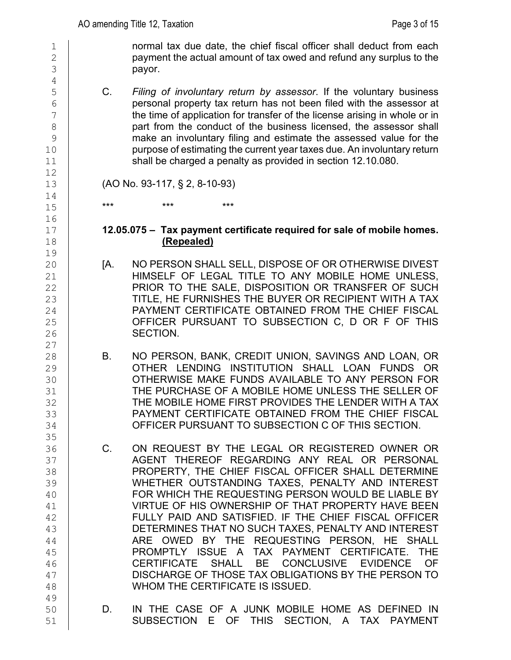$\frac{1}{2}$  normal tax due date, the chief fiscal officer shall deduct from each payment the actual amount of tax owed and refund any surplus to the  $\begin{array}{c|c} 2 & \text{payment the actual amount of tax owed and refund any surplus to the pay.} \end{array}$ payor.

5 C. *Filing of involuntary return by assessor*. If the voluntary business<br>6 personal property tax return has not been filed with the assessor at  $\begin{array}{c|c}\n6 & \phantom{0} & \phantom{0} & \phantom{0} & \phantom{0} & \phantom{0} & \phantom{0} & \phantom{0} & \phantom{0} & \phantom{0} & \phantom{0} & \phantom{0} & \phantom{0} & \phantom{0} & \phantom{0} & \phantom{0} & \phantom{0} & \phantom{0} & \phantom{0} & \phantom{0} & \phantom{0} & \phantom{0} & \phantom{0} & \phantom{0} & \phantom{0} & \phantom{0} & \phantom{0} & \phantom{0} & \phantom{0} & \phantom{0} & \phantom{0$ the time of application for transfer of the license arising in whole or in 8 part from the conduct of the business licensed, the assessor shall<br>9 make an involuntary filing and estimate the assessed value for the make an involuntary filing and estimate the assessed value for the 10 purpose of estimating the current year taxes due. An involuntary return<br>11 shall be charged a penalty as provided in section 12.10.080. shall be charged a penalty as provided in section 12.10.080.

13 (AO No. 93-117, § 2, 8-10-93)

17 **12.05.075 – Tax payment certificate required for sale of mobile homes.** 18 **(Repealed)**

- 20 [A. NO PERSON SHALL SELL, DISPOSE OF OR OTHERWISE DIVEST 21 HIMSELF OF LEGAL TITLE TO ANY MOBILE HOME UNLESS,<br>22 PRIOR TO THE SALE. DISPOSITION OR TRANSFER OF SUCH 22 PRIOR TO THE SALE, DISPOSITION OR TRANSFER OF SUCH<br>23 TITLE. HE FURNISHES THE BUYER OR RECIPIENT WITH A TAX 23 TITLE, HE FURNISHES THE BUYER OR RECIPIENT WITH A TAX<br>24 PAYMENT CERTIFICATE OBTAINED FROM THE CHIEF FISCAL 24 PAYMENT CERTIFICATE OBTAINED FROM THE CHIEF FISCAL<br>25 OFFICER PURSUANT TO SUBSECTION C, D OR F OF THIS 25 OFFICER PURSUANT TO SUBSECTION C, D OR F OF THIS<br>26 SECTION. SECTION.
- 28 B. NO PERSON, BANK, CREDIT UNION, SAVINGS AND LOAN, OR<br>29 CTHER LENDING INSTITUTION SHALL LOAN FUNDS OR OTHER LENDING INSTITUTION SHALL LOAN FUNDS OR 30 OTHERWISE MAKE FUNDS AVAILABLE TO ANY PERSON FOR<br>31 THE PURCHASE OF A MOBILE HOME UNLESS THE SELLER OF 31 THE PURCHASE OF A MOBILE HOME UNLESS THE SELLER OF A MOBILE HOME UNLESS THE SELLER OF 32 THE MOBILE HOME FIRST PROVIDES THE LENDER WITH A TAX<br>33 PAYMENT CERTIFICATE OBTAINED FROM THE CHIEF FISCAL 33 PAYMENT CERTIFICATE OBTAINED FROM THE CHIEF FISCAL<br>34 OFFICER PURSUANT TO SUBSECTION C OF THIS SECTION. OFFICER PURSUANT TO SUBSECTION C OF THIS SECTION.
- 36 C. ON REQUEST BY THE LEGAL OR REGISTERED OWNER OR<br>37 AGENT THEREOF REGARDING ANY REAL OR PERSONAL 37 AGENT THEREOF REGARDING ANY REAL OR PERSONAL<br>38 PROPERTY, THE CHIEF FISCAL OFFICER SHALL DETERMINE 38 PROPERTY, THE CHIEF FISCAL OFFICER SHALL DETERMINE<br>39 WHETHER OUTSTANDING TAXES, PENALTY AND INTEREST WHETHER OUTSTANDING TAXES, PENALTY AND INTEREST 40 FOR WHICH THE REQUESTING PERSON WOULD BE LIABLE BY<br>41 VIRTUE OF HIS OWNERSHIP OF THAT PROPERTY HAVE BEEN 41 VIRTUE OF HIS OWNERSHIP OF THAT PROPERTY HAVE BEEN<br>42 FULLY PAID AND SATISFIED. IF THE CHIEF FISCAL OFFICER FULLY PAID AND SATISFIED. IF THE CHIEF FISCAL OFFICER 43 DETERMINES THAT NO SUCH TAXES, PENALTY AND INTEREST 44 ARE OWED BY THE REQUESTING PERSON, HE SHALL A TAX PAYMENT CERTIFICATE. THE 45 PROMPTLY ISSUE A TAX PAYMENT CERTIFICATE. THE 46 | CERTIFICATE SHALL BE CONCLUSIVE EVIDENCE OF 47 | DISCHARGE OF THOSE TAX OBLIGATIONS BY THE PERSON TO 48 | WHOM THE CERTIFICATE IS ISSUED.
- 49<br>50 D. IN THE CASE OF A JUNK MOBILE HOME AS DEFINED IN 51 SUBSECTION E OF THIS SECTION, A TAX PAYMENT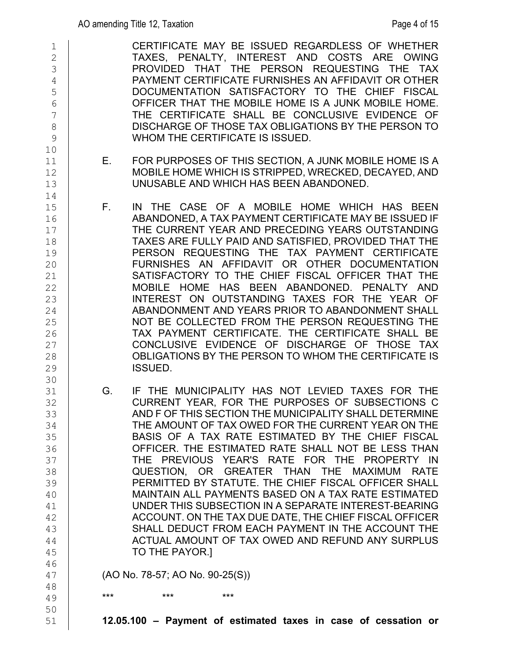| $\overline{2}$<br>$\mathfrak{Z}$<br>$\overline{4}$<br>5<br>$6\phantom{.}6$<br>$\overline{7}$<br>$\,8\,$<br>9 | TAXES, PENALTY, INTEREST AND COSTS ARE OWING<br>PROVIDED THAT THE PERSON REQUESTING THE TAX<br>PAYMENT CERTIFICATE FURNISHES AN AFFIDAVIT OR OTHER<br>DOCUMENTATION SATISFACTORY TO THE CHIEF FISCAL<br>OFFICER THAT THE MOBILE HOME IS A JUNK MOBILE HOME.<br>THE CERTIFICATE SHALL BE CONCLUSIVE EVIDENCE OF<br>DISCHARGE OF THOSE TAX OBLIGATIONS BY THE PERSON TO<br>WHOM THE CERTIFICATE IS ISSUED.                                                                                                                                                                                                                                                                                                                                                                                                      |
|--------------------------------------------------------------------------------------------------------------|---------------------------------------------------------------------------------------------------------------------------------------------------------------------------------------------------------------------------------------------------------------------------------------------------------------------------------------------------------------------------------------------------------------------------------------------------------------------------------------------------------------------------------------------------------------------------------------------------------------------------------------------------------------------------------------------------------------------------------------------------------------------------------------------------------------|
| 10<br>11<br>12<br>13                                                                                         | FOR PURPOSES OF THIS SECTION, A JUNK MOBILE HOME IS A<br>$E_{\rm{z}}$<br>MOBILE HOME WHICH IS STRIPPED, WRECKED, DECAYED, AND<br>UNUSABLE AND WHICH HAS BEEN ABANDONED.                                                                                                                                                                                                                                                                                                                                                                                                                                                                                                                                                                                                                                       |
| 14<br>15<br>16<br>17<br>18<br>19<br>20<br>21<br>22<br>23<br>24<br>25<br>26<br>27<br>28<br>29<br>30           | $F_{\rm{max}}$<br>IN THE CASE OF A MOBILE HOME WHICH HAS BEEN<br>ABANDONED, A TAX PAYMENT CERTIFICATE MAY BE ISSUED IF<br>THE CURRENT YEAR AND PRECEDING YEARS OUTSTANDING<br>TAXES ARE FULLY PAID AND SATISFIED, PROVIDED THAT THE<br>PERSON REQUESTING THE TAX PAYMENT CERTIFICATE<br>FURNISHES AN AFFIDAVIT OR OTHER DOCUMENTATION<br>SATISFACTORY TO THE CHIEF FISCAL OFFICER THAT THE<br>MOBILE HOME HAS BEEN ABANDONED. PENALTY AND<br>INTEREST ON OUTSTANDING TAXES FOR THE YEAR OF<br>ABANDONMENT AND YEARS PRIOR TO ABANDONMENT SHALL<br>NOT BE COLLECTED FROM THE PERSON REQUESTING THE<br>TAX PAYMENT CERTIFICATE. THE CERTIFICATE SHALL BE<br>CONCLUSIVE EVIDENCE OF DISCHARGE OF THOSE TAX<br>OBLIGATIONS BY THE PERSON TO WHOM THE CERTIFICATE IS<br><b>ISSUED.</b>                             |
| 31<br>32<br>33<br>34<br>35<br>36<br>37<br>38<br>39<br>40<br>41<br>42<br>43<br>44<br>45<br>46                 | IF THE MUNICIPALITY HAS NOT LEVIED TAXES FOR THE<br>G.<br>CURRENT YEAR, FOR THE PURPOSES OF SUBSECTIONS C<br>AND F OF THIS SECTION THE MUNICIPALITY SHALL DETERMINE<br>THE AMOUNT OF TAX OWED FOR THE CURRENT YEAR ON THE<br>BASIS OF A TAX RATE ESTIMATED BY THE CHIEF FISCAL<br>OFFICER. THE ESTIMATED RATE SHALL NOT BE LESS THAN<br>THE PREVIOUS YEAR'S RATE FOR THE PROPERTY<br>- IN<br>QUESTION, OR GREATER THAN THE MAXIMUM<br><b>RATE</b><br>PERMITTED BY STATUTE. THE CHIEF FISCAL OFFICER SHALL<br>MAINTAIN ALL PAYMENTS BASED ON A TAX RATE ESTIMATED<br>UNDER THIS SUBSECTION IN A SEPARATE INTEREST-BEARING<br>ACCOUNT. ON THE TAX DUE DATE, THE CHIEF FISCAL OFFICER<br>SHALL DEDUCT FROM EACH PAYMENT IN THE ACCOUNT THE<br>ACTUAL AMOUNT OF TAX OWED AND REFUND ANY SURPLUS<br>TO THE PAYOR.] |
| 47<br>48                                                                                                     | (AO No. 78-57; AO No. 90-25(S))                                                                                                                                                                                                                                                                                                                                                                                                                                                                                                                                                                                                                                                                                                                                                                               |
| 49<br>50<br>51                                                                                               | ***<br>***<br>***<br>12.05.100 - Payment of estimated taxes in case of cessation or                                                                                                                                                                                                                                                                                                                                                                                                                                                                                                                                                                                                                                                                                                                           |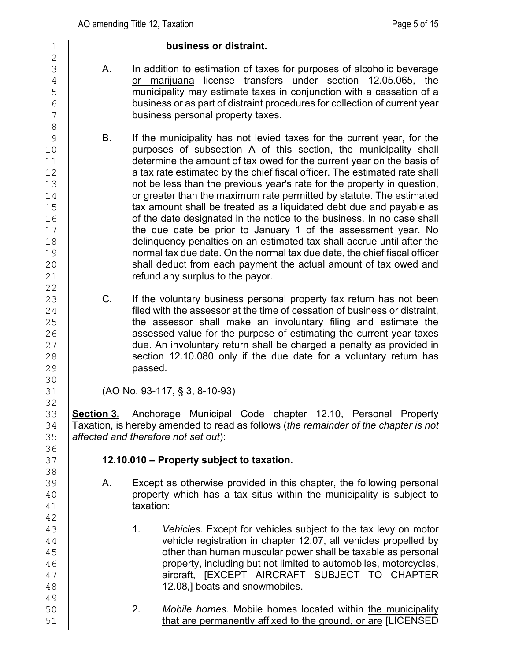#### 1 **business or distraint.**

- 3 A. In addition to estimation of taxes for purposes of alcoholic beverage<br>4 cornentiuana license transfers under section 12.05.065. the <sup>4</sup> or marijuana license transfers under section 12.05.065, the<br>municipality may estimate taxes in conjunction with a cessation of a 5 municipality may estimate taxes in conjunction with a cessation of a<br>business or as part of distraint procedures for collection of current year  $\begin{array}{c|c} 6 & \text{b} \\ 7 & \text{b} \\ \end{array}$  business or as part of distraint procedures for collection of current year business personal property taxes. business personal property taxes.
- B. If the municipality has not levied taxes for the current year, for the 10 purposes of subsection A of this section, the municipality shall<br>11 determine the amount of tax owed for the current year on the basis of 11 determine the amount of tax owed for the current year on the basis of<br>12 **a** tax rate estimated by the chief fiscal officer. The estimated rate shall 12 a tax rate estimated by the chief fiscal officer. The estimated rate shall<br>13 hot be less than the previous vear's rate for the property in question. not be less than the previous year's rate for the property in question,<br>14 or greater than the maximum rate permitted by statute. The estimated 14 or greater than the maximum rate permitted by statute. The estimated<br>15 **15** tax amount shall be treated as a liquidated debt due and payable as 15 tax amount shall be treated as a liquidated debt due and payable as<br>16 fthe date designated in the notice to the business. In no case shall 16 of the date designated in the notice to the business. In no case shall<br>17 the due date be prior to January 1 of the assessment year. No the due date be prior to January 1 of the assessment year. No 18 delinquency penalties on an estimated tax shall accrue until after the<br>19 mormal tax due date. On the normal tax due date, the chief fiscal officer normal tax due date. On the normal tax due date, the chief fiscal officer 20 shall deduct from each payment the actual amount of tax owed and<br>21 **Soutier Find and Surplus to the pavor**. refund any surplus to the payor.
- 23 C. If the voluntary business personal property tax return has not been<br>24 filed with the assessor at the time of cessation of business or distraint. 24 **filed with the assessor at the time of cessation of business or distraint,**<br>25 **he assessor shall make an involuntary filing and estimate the** 25 the assessor shall make an involuntary filing and estimate the<br>26 assessed value for the purpose of estimating the current vear taxes 26 assessed value for the purpose of estimating the current year taxes<br>27 due. An involuntary return shall be charged a penalty as provided in 27 due. An involuntary return shall be charged a penalty as provided in<br>28 section 12.10.080 only if the due date for a voluntary return has 28 section 12.10.080 only if the due date for a voluntary return has<br>29 section 12.10.080 only if the due date for a voluntary return has passed.

31 (AO No. 93-117, § 3, 8-10-93)

33 **Section 3.** Anchorage Municipal Code chapter 12.10, Personal Property 34 Taxation, is hereby amended to read as follows (*the remainder of the chapter is not*  35 *affected and therefore not set out*):

# 37 **12.10.010 – Property subject to taxation.**

- A. Except as otherwise provided in this chapter, the following personal  $\begin{array}{c|c} 40 & \text{property which has a tax situs within the municipality is subject to} \end{array}$ taxation:
- 43 1. *Vehicles*. Except for vehicles subject to the tax levy on motor<br>44 vehicle registration in chapter 12.07, all vehicles propelled by  $\frac{44}{15}$  vehicle registration in chapter 12.07, all vehicles propelled by<br>a other than human muscular power shall be taxable as personal 45 other than human muscular power shall be taxable as personal<br>46 **or all property, including but not limited to automobiles, motorcycles,** 46 **property, including but not limited to automobiles, motorcycles,<br>
47 <b>property, including but not limited to automobiles, motorcycles,<br>
aircraft. IEXCEPT AIRCRAFT SUBJECT TO CHAPTER** 47 aircraft, [EXCEPT AIRCRAFT SUBJECT TO CHAPTER 12.08,] boats and snowmobiles.
- 50 2. *Mobile homes*. Mobile homes located within the municipality 51 | that are permanently affixed to the ground, or are [LICENSED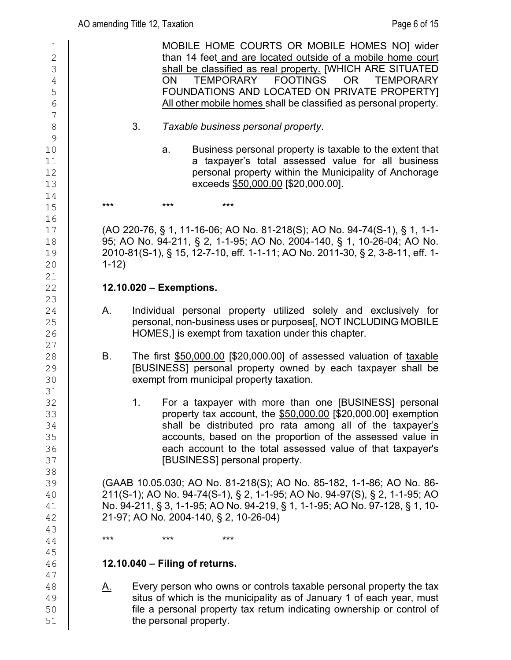| $1\,$<br>$\sqrt{2}$<br>3<br>4<br>5<br>$\sqrt{6}$ | MOBILE HOME COURTS OR MOBILE HOMES NO] wider<br>than 14 feet and are located outside of a mobile home court<br>shall be classified as real property. [WHICH ARE SITUATED<br>TEMPORARY FOOTINGS<br><b>OR</b><br><b>TEMPORARY</b><br>ON.<br>FOUNDATIONS AND LOCATED ON PRIVATE PROPERTY]<br>All other mobile homes shall be classified as personal property. |
|--------------------------------------------------|------------------------------------------------------------------------------------------------------------------------------------------------------------------------------------------------------------------------------------------------------------------------------------------------------------------------------------------------------------|
| $\overline{7}$<br>8<br>$\mathcal{G}$             | 3.<br>Taxable business personal property.                                                                                                                                                                                                                                                                                                                  |
| 10<br>11<br>12<br>13                             | Business personal property is taxable to the extent that<br>a.<br>a taxpayer's total assessed value for all business<br>personal property within the Municipality of Anchorage<br>exceeds \$50,000.00 [\$20,000.00].                                                                                                                                       |
| 14<br>15                                         | ***<br>***<br>$***$                                                                                                                                                                                                                                                                                                                                        |
| 16<br>17<br>18<br>19<br>20<br>21                 | (AO 220-76, § 1, 11-16-06; AO No. 81-218(S); AO No. 94-74(S-1), § 1, 1-1-<br>95; AO No. 94-211, § 2, 1-1-95; AO No. 2004-140, § 1, 10-26-04; AO No.<br>2010-81(S-1), § 15, 12-7-10, eff. 1-1-11; AO No. 2011-30, § 2, 3-8-11, eff. 1-<br>$1-12)$                                                                                                           |
| 22<br>23                                         | 12.10.020 - Exemptions.                                                                                                                                                                                                                                                                                                                                    |
| 24<br>25<br>26<br>27                             | Individual personal property utilized solely and exclusively for<br>А.<br>personal, non-business uses or purposes[, NOT INCLUDING MOBILE<br>HOMES,] is exempt from taxation under this chapter.                                                                                                                                                            |
| 28<br>29<br>30                                   | The first \$50,000.00 [\$20,000.00] of assessed valuation of taxable<br>В.<br>[BUSINESS] personal property owned by each taxpayer shall be<br>exempt from municipal property taxation.                                                                                                                                                                     |
| 31<br>32<br>33<br>34<br>35<br>36<br>37           | For a taxpayer with more than one [BUSINESS] personal<br>1.<br>property tax account, the \$50,000.00 [\$20,000.00] exemption<br>shall be distributed pro rata among all of the taxpayer's<br>accounts, based on the proportion of the assessed value in<br>each account to the total assessed value of that taxpayer's<br>[BUSINESS] personal property.    |
| 38<br>39<br>40<br>41<br>42                       | (GAAB 10.05.030; AO No. 81-218(S); AO No. 85-182, 1-1-86; AO No. 86-<br>211(S-1); AO No. 94-74(S-1), § 2, 1-1-95; AO No. 94-97(S), § 2, 1-1-95; AO<br>No. 94-211, § 3, 1-1-95; AO No. 94-219, § 1, 1-1-95; AO No. 97-128, § 1, 10-<br>21-97; AO No. 2004-140, § 2, 10-26-04)                                                                               |
| 43<br>44                                         | ***<br>***<br>***                                                                                                                                                                                                                                                                                                                                          |
| 45<br>46                                         | $12.10.040 - Filing of returns.$                                                                                                                                                                                                                                                                                                                           |
| 47<br>48<br>49<br>50<br>51                       | Every person who owns or controls taxable personal property the tax<br><u>A.</u><br>situs of which is the municipality as of January 1 of each year, must<br>file a personal property tax return indicating ownership or control of<br>the personal property.                                                                                              |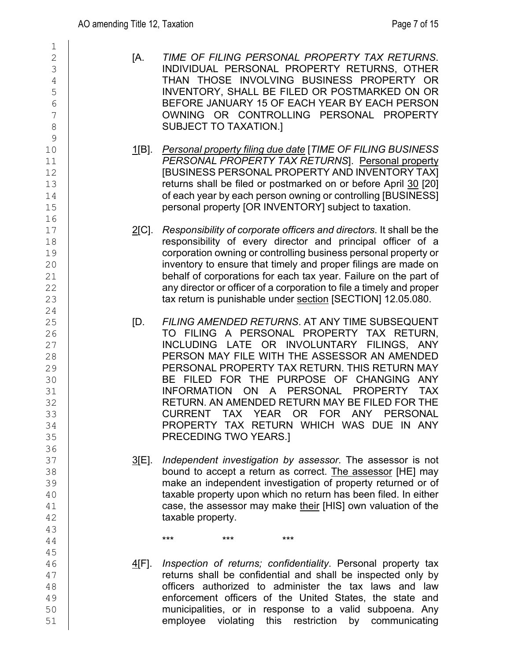| 1<br>$\sqrt{2}$<br>3<br>$\sqrt{4}$<br>5<br>6<br>$\overline{7}$<br>8<br>9 | [A.           |                                      | TIME OF FILING PERSONA<br>INDIVIDUAL PERSONAL PI<br>THAN THOSE INVOLVING<br>INVENTORY, SHALL BE FIL<br>BEFORE JANUARY 15 OF E<br>OWNING OR CONTROLL<br>SUBJECT TO TAXATION.]                                                                                                                 |     |
|--------------------------------------------------------------------------|---------------|--------------------------------------|----------------------------------------------------------------------------------------------------------------------------------------------------------------------------------------------------------------------------------------------------------------------------------------------|-----|
| 10<br>11<br>12<br>13<br>14<br>15<br>16                                   | <u>1[B]</u> . |                                      | <b>Personal property filing due day</b><br><b>PERSONAL PROPERTY TA)</b><br><b>IBUSINESS PERSONAL PRC</b><br>returns shall be filed or postn<br>of each year by each person o<br>personal property [OR INVEN                                                                                  |     |
| 17<br>18<br>19<br>20<br>21<br>22<br>23                                   | <u>2</u> [C]. |                                      | Responsibility of corporate off<br>responsibility of every dired<br>corporation owning or controlli<br>inventory to ensure that timely<br>behalf of corporations for eac<br>any director or officer of a corp<br>tax return is punishable under                                              |     |
| 24<br>25<br>26<br>27<br>28<br>29<br>30<br>31<br>32<br>33<br>34<br>35     | ID.           | <b>CURRENT</b>                       | <b>FILING AMENDED RETURNS</b><br>TO FILING A PERSONAL<br>INCLUDING LATE OR IN<br>PERSON MAY FILE WITH T<br>PERSONAL PROPERTY TAX<br>BE FILED FOR THE PUP<br>INFORMATION ON A P<br>RETURN. AN AMENDED RET<br><b>TAX</b><br><b>YEAR</b><br>PROPERTY TAX RETURN<br><b>PRECEDING TWO YEARS.]</b> |     |
| 36<br>37<br>38<br>39<br>40<br>41<br>42<br>43                             | <u>3[E]</u>   | taxable property.                    | Independent investigation by<br>bound to accept a return as<br>make an independent investig<br>taxable property upon which r<br>case, the assessor may make                                                                                                                                  |     |
| 44<br>45                                                                 |               | ***                                  | ***                                                                                                                                                                                                                                                                                          | *** |
| 16                                                                       |               | AIE1 - Inspection of returns: confin |                                                                                                                                                                                                                                                                                              |     |

2 [A. *TIME OF FILING PERSONAL PROPERTY TAX RETURNS*. INDIVIDUAL PERSONAL PROPERTY RETURNS, OTHER 4 THAN THOSE INVOLVING BUSINESS PROPERTY OR INVENTORY, SHALL BE FILED OR POSTMARKED ON OR 6 BEFORE JANUARY 15 OF EACH YEAR BY EACH PERSON OWNING OR CONTROLLING PERSONAL PROPERTY SUBJECT TO TAXATION.]

- 1[B]. *Personal property filing due date* [*TIME OF FILING BUSINESS* 11 *PERSONAL PROPERTY TAX RETURNS*]. Personal property [BUSINESS PERSONAL PROPERTY AND INVENTORY TAX] 13 returns shall be filed or postmarked on or before April 30 [20] of each year by each person owning or controlling [BUSINESS] personal property [OR INVENTORY] subject to taxation.
- 17 2[C]. *Responsibility of corporate officers and directors*. It shall be the responsibility of every director and principal officer of a 19 corporation owning or controlling business personal property or inventory to ensure that timely and proper filings are made on behalf of corporations for each tax year. Failure on the part of any director or officer of a corporation to file a timely and proper tax return is punishable under section [SECTION] 12.05.080.
- 25 [D. *FILING AMENDED RETURNS*. AT ANY TIME SUBSEQUENT 26 TO FILING A PERSONAL PROPERTY TAX RETURN, INCLUDING LATE OR INVOLUNTARY FILINGS. ANY PERSON MAY FILE WITH THE ASSESSOR AN AMENDED PERSONAL PROPERTY TAX RETURN. THIS RETURN MAY BE FILED FOR THE PURPOSE OF CHANGING ANY INFORMATION ON A PERSONAL PROPERTY TAX RETURN. AN AMENDED RETURN MAY BE FILED FOR THE<br>CURRENT TAX YEAR OR FOR ANY PERSONAL TAX YEAR OR FOR ANY PROPERTY TAX RETURN WHICH WAS DUE IN ANY PRECEDING TWO YEARS.]
- 37 3[E]. *Independent investigation by assessor*. The assessor is not bound to accept a return as correct. The assessor [HE] may make an independent investigation of property returned or of taxable property upon which no return has been filed. In either case, the assessor may make their [HIS] own valuation of the taxable property.

46 4[F]. *Inspection of returns; confidentiality*. Personal property tax returns shall be confidential and shall be inspected only by 48 officers authorized to administer the tax laws and law<br>49 enforcement officers of the United States, the state and 49 enforcement officers of the United States, the state and<br>50 municipalities, or in response to a valid subpoena. Any municipalities, or in response to a valid subpoena. Any 51 | employee violating this restriction by communicating low-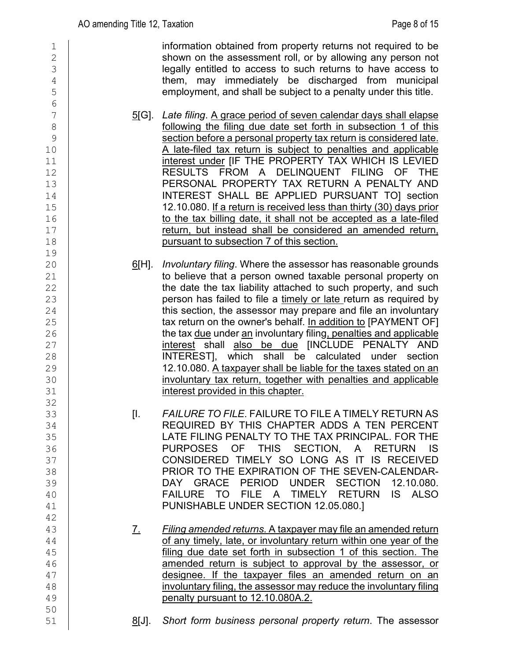| $\mathbf 1$<br>$\overline{c}$<br>3<br>4<br>5                                                                      |               | information obtained from property returns not required to be<br>shown on the assessment roll, or by allowing any person not<br>legally entitled to access to such returns to have access to<br>them, may immediately be discharged from municipal<br>employment, and shall be subject to a penalty under this title.                                                                                                                                                                                                                                                                                                                                                                                                                                           |
|-------------------------------------------------------------------------------------------------------------------|---------------|-----------------------------------------------------------------------------------------------------------------------------------------------------------------------------------------------------------------------------------------------------------------------------------------------------------------------------------------------------------------------------------------------------------------------------------------------------------------------------------------------------------------------------------------------------------------------------------------------------------------------------------------------------------------------------------------------------------------------------------------------------------------|
| $6\phantom{.}6$<br>$\overline{7}$<br>$\,8\,$<br>$\mathsf 9$<br>10<br>11<br>12<br>13<br>14<br>15<br>16<br>17<br>18 | <u>5</u> [G]. | Late filing. A grace period of seven calendar days shall elapse<br>following the filing due date set forth in subsection 1 of this<br>section before a personal property tax return is considered late.<br>A late-filed tax return is subject to penalties and applicable<br>interest under [IF THE PROPERTY TAX WHICH IS LEVIED<br>RESULTS FROM A DELINQUENT FILING OF THE<br>PERSONAL PROPERTY TAX RETURN A PENALTY AND<br>INTEREST SHALL BE APPLIED PURSUANT TOJ section<br>12.10.080. If a return is received less than thirty (30) days prior<br>to the tax billing date, it shall not be accepted as a late-filed<br>return, but instead shall be considered an amended return,<br>pursuant to subsection 7 of this section.                              |
| 19<br>20<br>21<br>22<br>23<br>24<br>25<br>26<br>27<br>28<br>29<br>30<br>31<br>32                                  | <u>6</u> [H]. | Involuntary filing. Where the assessor has reasonable grounds<br>to believe that a person owned taxable personal property on<br>the date the tax liability attached to such property, and such<br>person has failed to file a timely or late return as required by<br>this section, the assessor may prepare and file an involuntary<br>tax return on the owner's behalf. In addition to [PAYMENT OF]<br>the tax due under an involuntary filing, penalties and applicable<br>interest shall also be due [INCLUDE PENALTY AND<br>INTEREST], which shall be calculated under section<br>12.10.080. A taxpayer shall be liable for the taxes stated on an<br>involuntary tax return, together with penalties and applicable<br>interest provided in this chapter. |
| 33<br>34<br>35<br>36<br>37<br>38<br>39<br>40<br>41<br>42                                                          | [I.           | FAILURE TO FILE. FAILURE TO FILE A TIMELY RETURN AS<br>REQUIRED BY THIS CHAPTER ADDS A TEN PERCENT<br>LATE FILING PENALTY TO THE TAX PRINCIPAL. FOR THE<br>PURPOSES OF THIS SECTION, A RETURN<br>- IS<br>CONSIDERED TIMELY SO LONG AS IT IS RECEIVED<br>PRIOR TO THE EXPIRATION OF THE SEVEN-CALENDAR-<br>DAY GRACE PERIOD UNDER SECTION<br>12.10.080.<br>FAILURE TO<br><b>FILE</b><br>TIMELY<br><b>RETURN</b><br>IS.<br><b>ALSO</b><br><b>A</b><br>PUNISHABLE UNDER SECTION 12.05.080.]                                                                                                                                                                                                                                                                        |
| 43<br>44<br>45<br>46<br>47<br>48<br>49<br>50                                                                      | <u>Z.</u>     | Filing amended returns. A taxpayer may file an amended return<br>of any timely, late, or involuntary return within one year of the<br>filing due date set forth in subsection 1 of this section. The<br>amended return is subject to approval by the assessor, or<br>designee. If the taxpayer files an amended return on an<br>involuntary filing, the assessor may reduce the involuntary filing<br>penalty pursuant to 12.10.080A.2.                                                                                                                                                                                                                                                                                                                         |
| 51                                                                                                                | <u>8[J].</u>  | Short form business personal property return. The assessor                                                                                                                                                                                                                                                                                                                                                                                                                                                                                                                                                                                                                                                                                                      |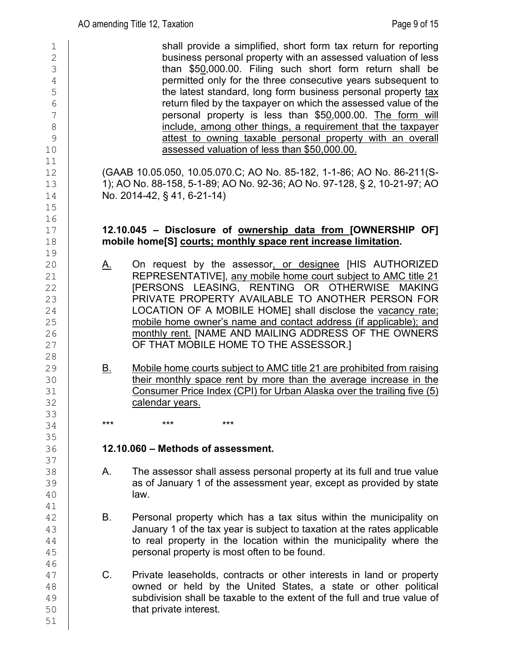1 shall provide a simplified, short form tax return for reporting<br>business personal property with an assessed valuation of less 2 business personal property with an assessed valuation of less<br>3 business personal property with an assessed valuation of less<br>50,000.00. Filing such short form return shall be  $\frac{3}{4}$  than \$5<u>0</u>,000.00. Filing such short form return shall be permitted only for the three consecutive vears subsequent to 4 permitted only for the three consecutive years subsequent to<br>the latest standard, long form business personal property tax 5 the latest standard, long form business personal property tax<br>
Ferrician by the taxpayer on which the assessed value of the  $\begin{array}{c|c} 6 & \phantom{0} & \phantom{0} & \phantom{0} & \phantom{0} & \phantom{0} & \phantom{0} & \phantom{0} & \phantom{0} & \phantom{0} & \phantom{0} & \phantom{0} & \phantom{0} & \phantom{0} & \phantom{0} & \phantom{0} & \phantom{0} & \phantom{0} & \phantom{0} & \phantom{0} & \phantom{0} & \phantom{0} & \phantom{0} & \phantom{0} & \phantom{0} & \phantom{0} & \phantom{0} & \phantom{0} & \phantom{0} & \phantom{0} & \phantom{0$ personal property is less than \$50,000.00. The form will 8 include, among other things, a requirement that the taxpayer<br>9 includest to owning taxable personal property with an overall attest to owning taxable personal property with an overall 10 **b** assessed valuation of less than \$50,000.00.  $\begin{array}{c} 11 \\ 12 \end{array}$ 12 (GAAB 10.05.050, 10.05.070.C; AO No. 85-182, 1-1-86; AO No. 86-211(S-<br>13 1): AO No. 88-158. 5-1-89: AO No. 92-36: AO No. 97-128. § 2. 10-21-97: AO 13 13 1); AO No. 88-158, 5-1-89; AO No. 92-36; AO No. 97-128, § 2, 10-21-97; AO  $14$  No. 2014-42, § 41, 6-21-14) 14 No. 2014-42, § 41, 6-21-14) 15 16<br>17 17 **12.10.045 – Disclosure of ownership data from [OWNERSHIP OF]**  18 **mobile home[S] courts; monthly space rent increase limitation.** 19 20 A. On request by the assessor<u>, or designee</u> [HIS AUTHORIZED<br>21 REPRESENTATIVEI anv mobile home court subiect to AMC title 21 21 REPRESENTATIVE], any mobile home court subject to AMC title 21<br>22 **PERSONS LEASING. RENTING OR OTHERWISE MAKING** 22 **EXAMPLE IN THE REAST EXAMPLE AT A COLL PRIVATE PROPERTY AVAILABLE TO ANOTHER PERSON FOR**<br>23 **EXAMPLE PROPERTY AVAILABLE TO ANOTHER PERSON FOR** 23 PRIVATE PROPERTY AVAILABLE TO ANOTHER PERSON FOR<br>24 LOCATION OF A MOBILE HOME] shall disclose the vacancy rate; 24 LOCATION OF A MOBILE HOME] shall disclose the vacancy rate;<br>25 mobile home owner's name and contact address (if applicable); and 25 mobile home owner's name and contact address (if applicable); and<br>26 monthly rent. [NAME AND MAILING ADDRESS OF THE OWNERS 26 monthly rent. [NAME AND MAILING ADDRESS OF THE OWNERS<br>27 OF THAT MOBILE HOME TO THE ASSESSOR.1 OF THAT MOBILE HOME TO THE ASSESSOR.] 28<br>29 29 B. Mobile home courts subject to AMC title 21 are prohibited from raising<br>30 their monthly space rent by more than the average increase in the 30 their monthly space rent by more than the average increase in the<br>31 Consumer Price Index (CPI) for Urban Alaska over the trailing five (5) 31 Consumer Price Index (CPI) for Urban Alaska over the trailing five (5)<br>32 Calendar vears. calendar years. 33<br>34 34 **\*\*\* \*\*\* \*\*\*** \*\*\* 35<br>36 36 **12.10.060 – Methods of assessment.** 37<br>38 38 A. The assessor shall assess personal property at its full and true value<br>39 as of January 1 of the assessment year, except as provided by state 39 **as of January 1 of the assessment year, except as provided by state** 40 law. 41<br>42 B. Personal property which has a tax situs within the municipality on 43 January 1 of the tax year is subject to taxation at the rates applicable<br>44 to real property in the location within the municipality where the  $\frac{44}{45}$  to real property in the location within the municipality where the <br>45 personal property is most often to be found. 46<br>47 47 C. Private leaseholds, contracts or other interests in land or property<br>48 **C. Contract or held by the United States**, a state or other political 48 cowned or held by the United States, a state or other political<br>49 subdivision shall be taxable to the extent of the full and true value of  $\begin{array}{c|c} 49 & \text{subdivision shall be taxable to the extent of the full and true value of} \\ 50 & \text{that private interest.} \end{array}$ that private interest. 51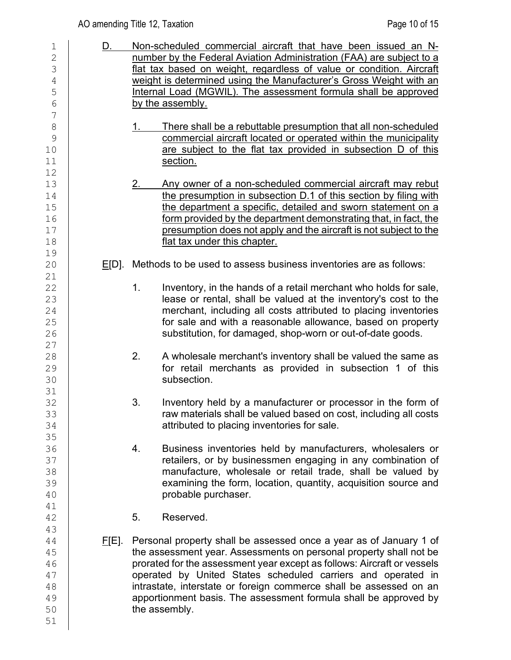# AO amending Title 12, Taxation **Page 10 of 15** and  $P$ age 10 of 15

| 1              | <u>D.</u>     | Non-scheduled commercial aircraft that have been issued an N-           |  |  |
|----------------|---------------|-------------------------------------------------------------------------|--|--|
| $\mathbf{2}$   |               | number by the Federal Aviation Administration (FAA) are subject to a    |  |  |
| 3              |               | flat tax based on weight, regardless of value or condition. Aircraft    |  |  |
| $\overline{4}$ |               | weight is determined using the Manufacturer's Gross Weight with an      |  |  |
| 5              |               | Internal Load (MGWIL). The assessment formula shall be approved         |  |  |
| 6              |               | by the assembly.                                                        |  |  |
| 7              |               |                                                                         |  |  |
| 8              |               | There shall be a rebuttable presumption that all non-scheduled          |  |  |
| 9              |               | commercial aircraft located or operated within the municipality         |  |  |
| 10             |               | are subject to the flat tax provided in subsection D of this            |  |  |
| 11             |               | section.                                                                |  |  |
| 12             |               |                                                                         |  |  |
| 13             |               | Any owner of a non-scheduled commercial aircraft may rebut              |  |  |
| 14             |               | the presumption in subsection D.1 of this section by filing with        |  |  |
| 15             |               | the department a specific, detailed and sworn statement on a            |  |  |
| 16             |               | form provided by the department demonstrating that, in fact, the        |  |  |
| 17             |               | presumption does not apply and the aircraft is not subject to the       |  |  |
| 18             |               | flat tax under this chapter.                                            |  |  |
| 19             |               |                                                                         |  |  |
| 20             | $E[D]$ .      | Methods to be used to assess business inventories are as follows:       |  |  |
| 21             |               |                                                                         |  |  |
| 22             |               | Inventory, in the hands of a retail merchant who holds for sale,<br>1.  |  |  |
| 23             |               | lease or rental, shall be valued at the inventory's cost to the         |  |  |
| 24             |               | merchant, including all costs attributed to placing inventories         |  |  |
| 25             |               | for sale and with a reasonable allowance, based on property             |  |  |
| 26             |               | substitution, for damaged, shop-worn or out-of-date goods.              |  |  |
| 27             |               |                                                                         |  |  |
| 28             |               | A wholesale merchant's inventory shall be valued the same as<br>2.      |  |  |
| 29             |               | for retail merchants as provided in subsection 1 of this                |  |  |
| 30             |               | subsection.                                                             |  |  |
| 31             |               |                                                                         |  |  |
| 32             |               | 3.<br>Inventory held by a manufacturer or processor in the form of      |  |  |
| 33             |               | raw materials shall be valued based on cost, including all costs        |  |  |
| 34             |               | attributed to placing inventories for sale.                             |  |  |
| 35             |               |                                                                         |  |  |
| 36             |               | Business inventories held by manufacturers, wholesalers or<br>4.        |  |  |
| 37             |               | retailers, or by businessmen engaging in any combination of             |  |  |
| 38             |               | manufacture, wholesale or retail trade, shall be valued by              |  |  |
| 39             |               | examining the form, location, quantity, acquisition source and          |  |  |
| 40             |               | probable purchaser.                                                     |  |  |
| 41             |               |                                                                         |  |  |
| 42             |               | 5.<br>Reserved.                                                         |  |  |
| 43             |               |                                                                         |  |  |
| 44             | <u>F</u> [E]. | Personal property shall be assessed once a year as of January 1 of      |  |  |
| 45             |               | the assessment year. Assessments on personal property shall not be      |  |  |
| 46             |               | prorated for the assessment year except as follows: Aircraft or vessels |  |  |
| 47             |               | operated by United States scheduled carriers and operated in            |  |  |
| 48             |               | intrastate, interstate or foreign commerce shall be assessed on an      |  |  |
| 49             |               | apportionment basis. The assessment formula shall be approved by        |  |  |
| 50             |               | the assembly.                                                           |  |  |
| 51             |               |                                                                         |  |  |
|                |               |                                                                         |  |  |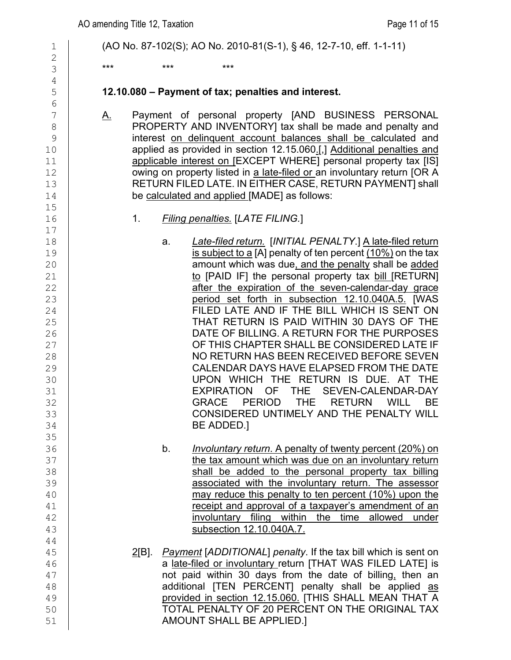| $\mathbf 1$                                                                            | (AO No. 87-102(S); AO No. 2010-81(S-1), § 46, 12-7-10, eff. 1-1-11)                                                                                                                                                                                                                                                                                                                                                                                                                                                                                                                                                                                                                                                                                                                             |
|----------------------------------------------------------------------------------------|-------------------------------------------------------------------------------------------------------------------------------------------------------------------------------------------------------------------------------------------------------------------------------------------------------------------------------------------------------------------------------------------------------------------------------------------------------------------------------------------------------------------------------------------------------------------------------------------------------------------------------------------------------------------------------------------------------------------------------------------------------------------------------------------------|
| $\overline{2}$                                                                         |                                                                                                                                                                                                                                                                                                                                                                                                                                                                                                                                                                                                                                                                                                                                                                                                 |
| 3                                                                                      | $***$<br>***<br>$***$                                                                                                                                                                                                                                                                                                                                                                                                                                                                                                                                                                                                                                                                                                                                                                           |
| $\overline{4}$                                                                         |                                                                                                                                                                                                                                                                                                                                                                                                                                                                                                                                                                                                                                                                                                                                                                                                 |
| 5<br>6                                                                                 | 12.10.080 - Payment of tax; penalties and interest.                                                                                                                                                                                                                                                                                                                                                                                                                                                                                                                                                                                                                                                                                                                                             |
| 7<br>$\,8\,$<br>$\mathcal{G}$<br>10<br>11<br>12<br>13<br>14<br>15                      | Payment of personal property [AND BUSINESS PERSONAL<br><u>A.</u><br>PROPERTY AND INVENTORY] tax shall be made and penalty and<br>interest on delinquent account balances shall be calculated and<br>applied as provided in section 12.15.060.[,] Additional penalties and<br>applicable interest on [EXCEPT WHERE] personal property tax [IS]<br>owing on property listed in a late-filed or an involuntary return [OR A<br>RETURN FILED LATE. IN EITHER CASE, RETURN PAYMENT] shall<br>be calculated and applied [MADE] as follows:                                                                                                                                                                                                                                                            |
| 16                                                                                     | 1.<br><b>Filing penalties. [LATE FILING.]</b>                                                                                                                                                                                                                                                                                                                                                                                                                                                                                                                                                                                                                                                                                                                                                   |
| 17                                                                                     |                                                                                                                                                                                                                                                                                                                                                                                                                                                                                                                                                                                                                                                                                                                                                                                                 |
| 18<br>19<br>20<br>21<br>22<br>23<br>24<br>25<br>26<br>27<br>28<br>29<br>30<br>31<br>32 | Late-filed return. [INITIAL PENALTY.] A late-filed return<br>a.<br>is subject to a [A] penalty of ten percent $(10\%)$ on the tax<br>amount which was due, and the penalty shall be added<br>to [PAID IF] the personal property tax bill [RETURN]<br>after the expiration of the seven-calendar-day grace<br>period set forth in subsection 12.10.040A.5. [WAS<br>FILED LATE AND IF THE BILL WHICH IS SENT ON<br>THAT RETURN IS PAID WITHIN 30 DAYS OF THE<br>DATE OF BILLING. A RETURN FOR THE PURPOSES<br>OF THIS CHAPTER SHALL BE CONSIDERED LATE IF<br>NO RETURN HAS BEEN RECEIVED BEFORE SEVEN<br>CALENDAR DAYS HAVE ELAPSED FROM THE DATE<br>UPON WHICH THE RETURN IS DUE. AT THE<br>EXPIRATION OF<br>SEVEN-CALENDAR-DAY<br><b>THE</b><br>PERIOD THE RETURN<br><b>GRACE</b><br>WILL<br>BЕ |
| 33<br>34                                                                               | CONSIDERED UNTIMELY AND THE PENALTY WILL<br>BE ADDED.]                                                                                                                                                                                                                                                                                                                                                                                                                                                                                                                                                                                                                                                                                                                                          |
| 35                                                                                     |                                                                                                                                                                                                                                                                                                                                                                                                                                                                                                                                                                                                                                                                                                                                                                                                 |
| 36<br>37<br>38<br>39<br>40<br>41<br>42<br>43                                           | Involuntary return. A penalty of twenty percent (20%) on<br>b.<br>the tax amount which was due on an involuntary return<br>shall be added to the personal property tax billing<br>associated with the involuntary return. The assessor<br>may reduce this penalty to ten percent (10%) upon the<br>receipt and approval of a taxpayer's amendment of an<br>involuntary filing within the<br>time<br>allowed<br>under<br>subsection 12.10.040A.7.                                                                                                                                                                                                                                                                                                                                                |
| 44                                                                                     |                                                                                                                                                                                                                                                                                                                                                                                                                                                                                                                                                                                                                                                                                                                                                                                                 |
| 45<br>46<br>47<br>48                                                                   | <b>Payment</b> [ADDITIONAL] penalty. If the tax bill which is sent on<br>2[B]<br>a late-filed or involuntary return [THAT WAS FILED LATE] is<br>not paid within 30 days from the date of billing, then an<br>additional [TEN PERCENT] penalty shall be applied as                                                                                                                                                                                                                                                                                                                                                                                                                                                                                                                               |
| 49<br>50<br>51                                                                         | provided in section 12.15.060. [THIS SHALL MEAN THAT A<br>TOTAL PENALTY OF 20 PERCENT ON THE ORIGINAL TAX<br>AMOUNT SHALL BE APPLIED.]                                                                                                                                                                                                                                                                                                                                                                                                                                                                                                                                                                                                                                                          |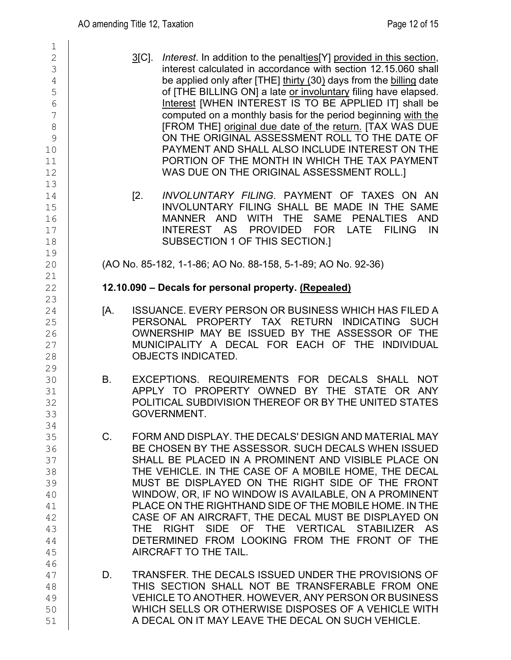| 1                                                                   |             |                                                                                                                                                                                                                                                                                                                                                                                                                                                                                                                                                                                                                                                                                                      |
|---------------------------------------------------------------------|-------------|------------------------------------------------------------------------------------------------------------------------------------------------------------------------------------------------------------------------------------------------------------------------------------------------------------------------------------------------------------------------------------------------------------------------------------------------------------------------------------------------------------------------------------------------------------------------------------------------------------------------------------------------------------------------------------------------------|
| $\overline{2}$<br>3<br>4<br>5<br>6<br>7<br>8<br>9<br>10<br>11<br>12 |             | $3$ [C].<br><i>Interest.</i> In addition to the penalties <sup>[Y]</sup> provided in this section,<br>interest calculated in accordance with section 12.15.060 shall<br>be applied only after [THE] thirty (30) days from the billing date<br>of [THE BILLING ON] a late or involuntary filing have elapsed.<br>Interest [WHEN INTEREST IS TO BE APPLIED IT] shall be<br>computed on a monthly basis for the period beginning with the<br>[FROM THE] original due date of the return. [TAX WAS DUE<br>ON THE ORIGINAL ASSESSMENT ROLL TO THE DATE OF<br>PAYMENT AND SHALL ALSO INCLUDE INTEREST ON THE<br>PORTION OF THE MONTH IN WHICH THE TAX PAYMENT<br>WAS DUE ON THE ORIGINAL ASSESSMENT ROLL.] |
| 13<br>14<br>15<br>16<br>17<br>18<br>19                              |             | [2.<br>INVOLUNTARY FILING. PAYMENT OF TAXES ON AN<br>INVOLUNTARY FILING SHALL BE MADE IN THE SAME<br><b>SAME</b><br><b>AND</b><br><b>WITH</b><br><b>THE</b><br><b>PENALTIES</b><br><b>AND</b><br><b>MANNER</b><br><b>AS</b><br><b>INTEREST</b><br><b>PROVIDED</b><br><b>FOR</b><br><b>LATE</b><br><b>FILING</b><br>IN<br>SUBSECTION 1 OF THIS SECTION.]                                                                                                                                                                                                                                                                                                                                              |
| 20<br>21                                                            |             | (AO No. 85-182, 1-1-86; AO No. 88-158, 5-1-89; AO No. 92-36)                                                                                                                                                                                                                                                                                                                                                                                                                                                                                                                                                                                                                                         |
| 22<br>23                                                            |             | 12.10.090 – Decals for personal property. (Repealed)                                                                                                                                                                                                                                                                                                                                                                                                                                                                                                                                                                                                                                                 |
| 24<br>25<br>26<br>27<br>28<br>29                                    | [A.         | <b>ISSUANCE, EVERY PERSON OR BUSINESS WHICH HAS FILED A</b><br>PROPERTY TAX<br><b>RETURN</b><br><b>INDICATING</b><br><b>SUCH</b><br>PERSONAL<br>OWNERSHIP MAY BE ISSUED BY THE ASSESSOR OF THE<br>MUNICIPALITY A DECAL FOR EACH OF THE INDIVIDUAL<br><b>OBJECTS INDICATED.</b>                                                                                                                                                                                                                                                                                                                                                                                                                       |
| 30<br>31<br>32<br>33<br>34                                          | Β.          | EXCEPTIONS. REQUIREMENTS FOR<br>DECALS SHALL<br><b>NOT</b><br>APPLY TO PROPERTY OWNED BY<br>THE STATE OR ANY<br>POLITICAL SUBDIVISION THEREOF OR BY THE UNITED STATES<br>GOVERNMENT.                                                                                                                                                                                                                                                                                                                                                                                                                                                                                                                 |
| 35<br>36<br>37<br>38<br>39<br>40<br>41<br>42<br>43<br>44<br>45      | $C_{\cdot}$ | FORM AND DISPLAY. THE DECALS' DESIGN AND MATERIAL MAY<br>BE CHOSEN BY THE ASSESSOR. SUCH DECALS WHEN ISSUED<br>SHALL BE PLACED IN A PROMINENT AND VISIBLE PLACE ON<br>THE VEHICLE. IN THE CASE OF A MOBILE HOME, THE DECAL<br>MUST BE DISPLAYED ON THE RIGHT SIDE OF THE FRONT<br>WINDOW, OR, IF NO WINDOW IS AVAILABLE, ON A PROMINENT<br>PLACE ON THE RIGHTHAND SIDE OF THE MOBILE HOME. IN THE<br>CASE OF AN AIRCRAFT. THE DECAL MUST BE DISPLAYED ON<br>THE RIGHT SIDE OF THE VERTICAL STABILIZER AS<br>DETERMINED FROM LOOKING FROM THE FRONT OF THE<br>AIRCRAFT TO THE TAIL.                                                                                                                   |
| 46<br>47<br>48<br>49<br>50<br>51                                    | D.          | TRANSFER. THE DECALS ISSUED UNDER THE PROVISIONS OF<br>THIS SECTION SHALL NOT BE TRANSFERABLE FROM ONE<br>VEHICLE TO ANOTHER. HOWEVER, ANY PERSON OR BUSINESS<br>WHICH SELLS OR OTHERWISE DISPOSES OF A VEHICLE WITH<br>A DECAL ON IT MAY LEAVE THE DECAL ON SUCH VEHICLE.                                                                                                                                                                                                                                                                                                                                                                                                                           |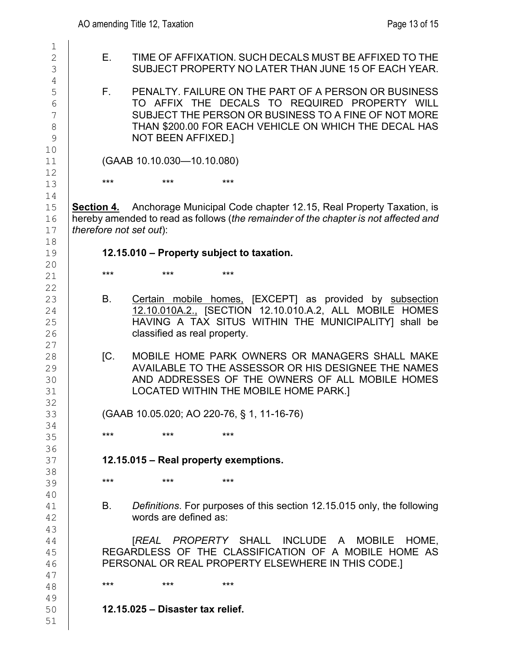$\mathbb{R}$ 

| ᅩ<br>$\mathbf{2}$<br>3<br>$\overline{4}$        | Е.                      | <b>TIME OF AFFIXATION</b><br><b>SUBJECT PROPERTY</b>                                                                  |     |
|-------------------------------------------------|-------------------------|-----------------------------------------------------------------------------------------------------------------------|-----|
| 5<br>$\overline{6}$<br>$\overline{7}$<br>8<br>9 | F.                      | PENALTY. FAILURE C<br>TO AFFIX THE DE<br><b>SUBJECT THE PERSO</b><br>THAN \$200.00 FOR E<br><b>NOT BEEN AFFIXED.]</b> |     |
| 10<br>11                                        |                         | (GAAB 10.10.030-10.10.080                                                                                             |     |
| 12<br>13                                        | ***                     | ***                                                                                                                   | *** |
| 14<br>15<br>16<br>17                            | therefore not set out): | Section 4. Anchorage Municipal C<br>hereby amended to read as follows (t                                              |     |
| 18<br>19                                        |                         | 12.15.010 - Property subjec                                                                                           |     |
| 20<br>21                                        | ***                     | ***                                                                                                                   | *** |
| 22<br>23<br>24<br>25<br>26                      | В.                      | Certain mobile home<br>12.10.010A.2., [SECT<br>HAVING A TAX SITI<br>classified as real prope                          |     |
| 27<br>28<br>29<br>30<br>31                      | [C.                     | <b>MOBILE HOME PARK</b><br><b>AVAILABLE TO THE A</b><br>AND ADDRESSES OI<br><b>LOCATED WITHIN TH</b>                  |     |
| 32<br>33                                        |                         | (GAAB 10.05.020; AO 220-76                                                                                            |     |
| 34<br>35                                        | ***                     | ***                                                                                                                   | *** |
| 36<br>37                                        |                         | $12.15.015 - Real property$                                                                                           |     |
| 38<br>39                                        | ***                     | ***                                                                                                                   | *** |
| 40<br>41<br>42                                  | В.                      | Definitions. For purpose<br>words are defined as:                                                                     |     |
| 43<br>44<br>45<br>46                            |                         | [REAL PROPERTY<br>REGARDLESS OF THE CL<br>PERSONAL OR REAL PROP                                                       |     |
| 47<br>48                                        | ***                     | ***                                                                                                                   | *** |
| 49                                              |                         |                                                                                                                       |     |

| 2  | Е.                      |                                           |       | TIME OF AFFIXATION. SUCH DECALS MUST BE AFFIXED TO THE                              |  |
|----|-------------------------|-------------------------------------------|-------|-------------------------------------------------------------------------------------|--|
| 3  |                         |                                           |       | SUBJECT PROPERTY NO LATER THAN JUNE 15 OF EACH YEAR.                                |  |
| 4  |                         |                                           |       |                                                                                     |  |
| 5  | F.,                     |                                           |       | PENALTY, FAILURE ON THE PART OF A PERSON OR BUSINESS                                |  |
| 6  |                         |                                           |       | TO AFFIX THE DECALS TO REQUIRED PROPERTY WILL                                       |  |
| 7  |                         |                                           |       | SUBJECT THE PERSON OR BUSINESS TO A FINE OF NOT MORE                                |  |
| 8  |                         |                                           |       | THAN \$200.00 FOR EACH VEHICLE ON WHICH THE DECAL HAS                               |  |
| 9  |                         | NOT BEEN AFFIXED.]                        |       |                                                                                     |  |
| 10 |                         |                                           |       |                                                                                     |  |
| 11 |                         | (GAAB 10.10.030-10.10.080)                |       |                                                                                     |  |
| 12 |                         |                                           |       |                                                                                     |  |
| 13 | $***$                   | $***$                                     | $***$ |                                                                                     |  |
| 14 |                         |                                           |       |                                                                                     |  |
| 15 | <b>Section 4.</b>       |                                           |       | Anchorage Municipal Code chapter 12.15, Real Property Taxation, is                  |  |
| 16 |                         |                                           |       | hereby amended to read as follows (the remainder of the chapter is not affected and |  |
| 17 | therefore not set out): |                                           |       |                                                                                     |  |
| 18 |                         |                                           |       |                                                                                     |  |
| 19 |                         | 12.15.010 – Property subject to taxation. |       |                                                                                     |  |
| 20 | $***$                   | ***                                       | $***$ |                                                                                     |  |
| 21 |                         |                                           |       |                                                                                     |  |

- in mobile homes, [EXCEPT] as provided by subsection 12.10.010A.2., [SECTION 12.10.010.A.2, ALL MOBILE HOMES NG A TAX SITUS WITHIN THE MUNICIPALITY] shall be ified as real property.
- ILE HOME PARK OWNERS OR MANAGERS SHALL MAKE LABLE TO THE ASSESSOR OR HIS DESIGNEE THE NAMES ADDRESSES OF THE OWNERS OF ALL MOBILE HOMES ATED WITHIN THE MOBILE HOME PARK.]

5.020; AO 220-76, § 1, 11-16-76)

# **12.15.015 – Real property exemptions.**

*itions*. For purposes of this section 12.15.015 only, the following s are defined as:

 [*REAL PROPERTY* SHALL INCLUDE A MOBILE HOME, ISS OF THE CLASSIFICATION OF A MOBILE HOME AS OR REAL PROPERTY ELSEWHERE IN THIS CODE.]

**12.15.025 – Disaster tax relief.**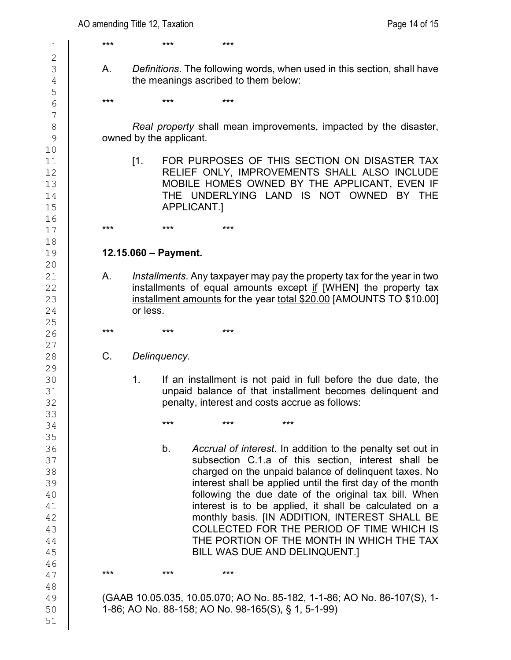3 A. *Definitions*. The following words, when used in this section, shall have the meanings ascribed to them below:

8 **Real property shall mean improvements, impacted by the disaster,**<br>9 **Real property shall mean improvements, impacted by the disaster,** owned by the applicant.

11 [1. FOR PURPOSES OF THIS SECTION ON DISASTER TAX<br>12 **RELIEF ONLY. IMPROVEMENTS SHALL ALSO INCLUDE** 12 RELIEF ONLY, IMPROVEMENTS SHALL ALSO INCLUDE<br>13 MOBILE HOMES OWNED BY THE APPLICANT. EVEN IF 13 MOBILE HOMES OWNED BY THE APPLICANT, EVEN IF  $14$ 14 THE UNDERLYING LAND IS NOT OWNED BY THE 15 APPLICANT.1

### 19 **12.15.060 – Payment.**

21 A. *Installments*. Any taxpayer may pay the property tax for the year in two  $\begin{array}{c|c} 22 & \text{installments of equal amounts except if [WHEN] the property tax} \ 23 & \text{installment amounts for the year total $20.00 IAMOUNTS TO $10.001$} \end{array}$  $\frac{23}{24}$  installment amounts for the year total \$20.00 [AMOUNTS TO \$10.00] or less.

26 **\*\*\* \*\*\* \*\*\* \*\*\*** 

28 C. *Delinquency*.

30 1. If an installment is not paid in full before the due date, the<br>31 **1. The University of the definition** unpaid balance of that installment becomes delinguent and 31 degrees of that installment becomes delinquent and 32 penalty, interest and costs accrue as follows:

36 b. *Accrual of interest*. In addition to the penalty set out in 37 Subsection C.1.a of this section, interest shall be section, interest shall be section, interest shall be seed on the unpaid balance of delinquent taxes. No 38 charged on the unpaid balance of delinquent taxes. No<br>39 **charged on the unpaid balance of delinquent taxes. No**<br>39 39 **interest shall be applied until the first day of the month**<br>40 **interest shall be applied until the first day of the month** 40 **following the due date of the original tax bill. When**<br>41 **following the due date of the original tax bill. When**  $\begin{array}{c|c} 41 & \textcolor{red}{\text{31}} \\ 42 & \textcolor{red}{\text{42}} \end{array}$  interest is to be applied, it shall be calculated on a 42 monthly basis. [IN ADDITION, INTEREST SHALL BE 43 COLLECTED FOR THE PERIOD OF TIME WHICH IS 44 THE PORTION OF THE MONTH IN WHICH THE TAX<br>45 BILL WAS DUE AND DELINQUENT.1 BILL WAS DUE AND DELINQUENT.]

49 (GAAB 10.05.035, 10.05.070; AO No. 85-182, 1-1-86; AO No. 86-107(S), 1-<br>50 1-86; AO No. 88-158; AO No. 98-165(S), § 1, 5-1-99) 50 1-86; AO No. 88-158; AO No. 98-165(S), § 1, 5-1-99)

1 \*\*\* \*\*\* \*\*\* \*\*\*  $\frac{2}{3}$ 5 6 \*\*\* \*\*\* \*\*\* \*\*\* 7 10<br>11 16<br>17 17 **\*\*\* \*\*\* \*\*\* \*\*\*** 18<br>19 20<br>21  $\frac{25}{26}$  $\begin{array}{c} 27 \\ 28 \end{array}$ 29<br>30 33  $34$  \*\*\* \*\*\* \*\*\* \*\*\* 35<br>36 46<br>47 47 **\*\*\* \*\*\* \*\*\* \*\*\*** 48<br>49

51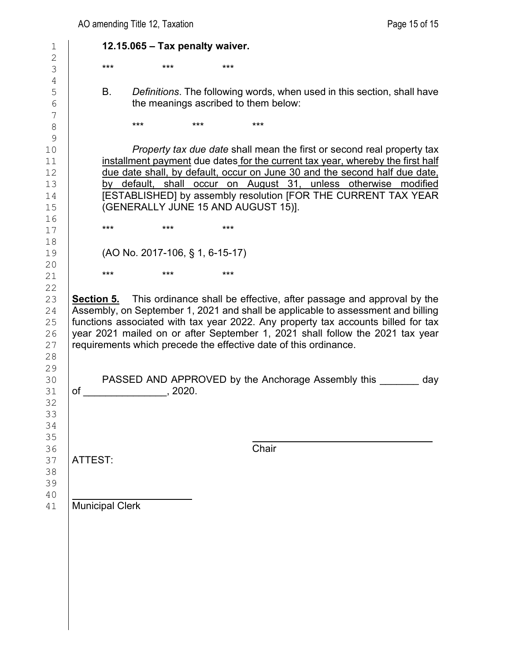1 **12.15.065 – Tax penalty waiver.**  $\frac{2}{3}$ 3 \*\*\* \*\*\* \*\*\* \*\*\* 4<br>5 5 B. *Definitions*. The following words, when used in this section, shall have the meanings ascribed to them below: the meanings ascribed to them below: 7 8 **\*\*\* \*\*\* \*\*\* \*\*\*** \*\*\* 9 10 *Property tax due date* shall mean the first or second real property tax 11 installment payment due dates for the current tax year, whereby the first half<br>12 due date shall, by default, occur on June 30 and the second half due date, due date shall, by default, occur on June 30 and the second half due date,<br>13 by default, shall occur on August 31, unless otherwise modified 13 by default, shall occur on August 31, unless otherwise modified<br>14 **IESTABLISHEDI** by assembly resolution IFOR THE CURRENT TAX YEAR 14 **ESTABLISHED**] by assembly resolution [FOR THE CURRENT TAX YEAR (GENERALLY JUNE 15 AND AUGUST 15)]. (GENERALLY JUNE 15 AND AUGUST 15)]. 16<br>17 17 **\*\*\* \*\*\* \*\*\* \*\*\*** 18<br>19 19 (AO No. 2017-106, § 1, 6-15-17) 20<br>21 21 **\*\*\* \*\*\* \*\*\*** \*\*\*  $\frac{22}{23}$ 23 **Section 5.** This ordinance shall be effective, after passage and approval by the 24 **Assembly, on September 1, 2021** and shall be applicable to assessment and billing 24 Assembly, on September 1, 2021 and shall be applicable to assessment and billing<br>25 functions associated with tax year 2022. Any property tax accounts billed for tax 25 functions associated with tax year 2022. Any property tax accounts billed for tax<br>26 year 2021 mailed on or after September 1, 2021 shall follow the 2021 tax year 26 year 2021 mailed on or after September 1, 2021 shall follow the 2021 tax year  $27$  requirements which precede the effective date of this ordinance. requirements which precede the effective date of this ordinance. 28 29<br>30 30 PASSED AND APPROVED by the Anchorage Assembly this \_\_\_\_\_\_\_ day<br>31 of <br>9220. of \_\_\_\_\_\_\_\_\_\_\_\_\_\_\_\_, 2020. 32 33 34 35<br>36 36 **Chair** 37 | ATTEST: 38 39 40<br>41 Municipal Clerk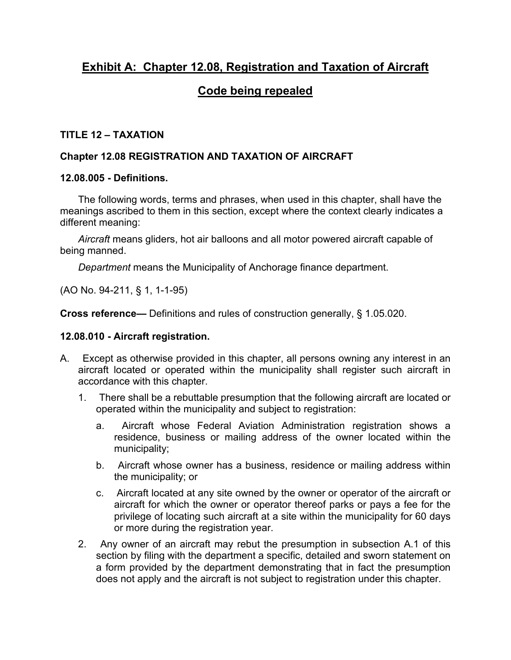# **Exhibit A: Chapter 12.08, Registration and Taxation of Aircraft**

# **Code being repealed**

#### **TITLE 12 – TAXATION**

#### **Chapter 12.08 REGISTRATION AND TAXATION OF AIRCRAFT**

#### **12.08.005 - Definitions.**

The following words, terms and phrases, when used in this chapter, shall have the meanings ascribed to them in this section, except where the context clearly indicates a different meaning:

*Aircraft* means gliders, hot air balloons and all motor powered aircraft capable of being manned.

*Department* means the Municipality of Anchorage finance department.

(AO No. 94-211, § 1, 1-1-95)

**Cross reference—** Definitions and rules of construction generally, § 1.05.020.

#### **12.08.010 - Aircraft registration.**

- A. Except as otherwise provided in this chapter, all persons owning any interest in an aircraft located or operated within the municipality shall register such aircraft in accordance with this chapter.
	- 1. There shall be a rebuttable presumption that the following aircraft are located or operated within the municipality and subject to registration:
		- a. Aircraft whose Federal Aviation Administration registration shows a residence, business or mailing address of the owner located within the municipality;
		- b. Aircraft whose owner has a business, residence or mailing address within the municipality; or
		- c. Aircraft located at any site owned by the owner or operator of the aircraft or aircraft for which the owner or operator thereof parks or pays a fee for the privilege of locating such aircraft at a site within the municipality for 60 days or more during the registration year.
	- 2. Any owner of an aircraft may rebut the presumption in subsection A.1 of this section by filing with the department a specific, detailed and sworn statement on a form provided by the department demonstrating that in fact the presumption does not apply and the aircraft is not subject to registration under this chapter.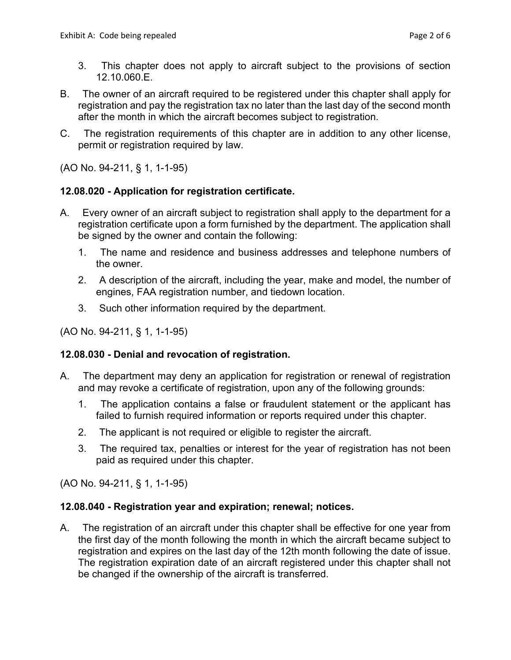- 3. This chapter does not apply to aircraft subject to the provisions of section 12.10.060.E.
- B. The owner of an aircraft required to be registered under this chapter shall apply for registration and pay the registration tax no later than the last day of the second month after the month in which the aircraft becomes subject to registration.
- C. The registration requirements of this chapter are in addition to any other license, permit or registration required by law.

(AO No. 94-211, § 1, 1-1-95)

#### **12.08.020 - Application for registration certificate.**

- A. Every owner of an aircraft subject to registration shall apply to the department for a registration certificate upon a form furnished by the department. The application shall be signed by the owner and contain the following:
	- 1. The name and residence and business addresses and telephone numbers of the owner.
	- 2. A description of the aircraft, including the year, make and model, the number of engines, FAA registration number, and tiedown location.
	- 3. Such other information required by the department.

(AO No. 94-211, § 1, 1-1-95)

#### **12.08.030 - Denial and revocation of registration.**

- A. The department may deny an application for registration or renewal of registration and may revoke a certificate of registration, upon any of the following grounds:
	- 1. The application contains a false or fraudulent statement or the applicant has failed to furnish required information or reports required under this chapter.
	- 2. The applicant is not required or eligible to register the aircraft.
	- 3. The required tax, penalties or interest for the year of registration has not been paid as required under this chapter.

(AO No. 94-211, § 1, 1-1-95)

#### **12.08.040 - Registration year and expiration; renewal; notices.**

A. The registration of an aircraft under this chapter shall be effective for one year from the first day of the month following the month in which the aircraft became subject to registration and expires on the last day of the 12th month following the date of issue. The registration expiration date of an aircraft registered under this chapter shall not be changed if the ownership of the aircraft is transferred.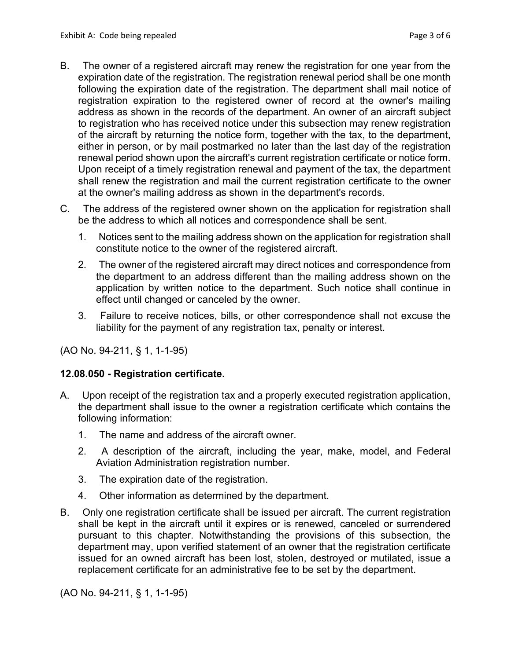- B. The owner of a registered aircraft may renew the registration for one year from the expiration date of the registration. The registration renewal period shall be one month following the expiration date of the registration. The department shall mail notice of registration expiration to the registered owner of record at the owner's mailing address as shown in the records of the department. An owner of an aircraft subject to registration who has received notice under this subsection may renew registration of the aircraft by returning the notice form, together with the tax, to the department, either in person, or by mail postmarked no later than the last day of the registration renewal period shown upon the aircraft's current registration certificate or notice form. Upon receipt of a timely registration renewal and payment of the tax, the department shall renew the registration and mail the current registration certificate to the owner at the owner's mailing address as shown in the department's records.
- C. The address of the registered owner shown on the application for registration shall be the address to which all notices and correspondence shall be sent.
	- 1. Notices sent to the mailing address shown on the application for registration shall constitute notice to the owner of the registered aircraft.
	- 2. The owner of the registered aircraft may direct notices and correspondence from the department to an address different than the mailing address shown on the application by written notice to the department. Such notice shall continue in effect until changed or canceled by the owner.
	- 3. Failure to receive notices, bills, or other correspondence shall not excuse the liability for the payment of any registration tax, penalty or interest.

(AO No. 94-211, § 1, 1-1-95)

#### **12.08.050 - Registration certificate.**

- A. Upon receipt of the registration tax and a properly executed registration application, the department shall issue to the owner a registration certificate which contains the following information:
	- 1. The name and address of the aircraft owner.
	- 2. A description of the aircraft, including the year, make, model, and Federal Aviation Administration registration number.
	- 3. The expiration date of the registration.
	- 4. Other information as determined by the department.
- B. Only one registration certificate shall be issued per aircraft. The current registration shall be kept in the aircraft until it expires or is renewed, canceled or surrendered pursuant to this chapter. Notwithstanding the provisions of this subsection, the department may, upon verified statement of an owner that the registration certificate issued for an owned aircraft has been lost, stolen, destroyed or mutilated, issue a replacement certificate for an administrative fee to be set by the department.

(AO No. 94-211, § 1, 1-1-95)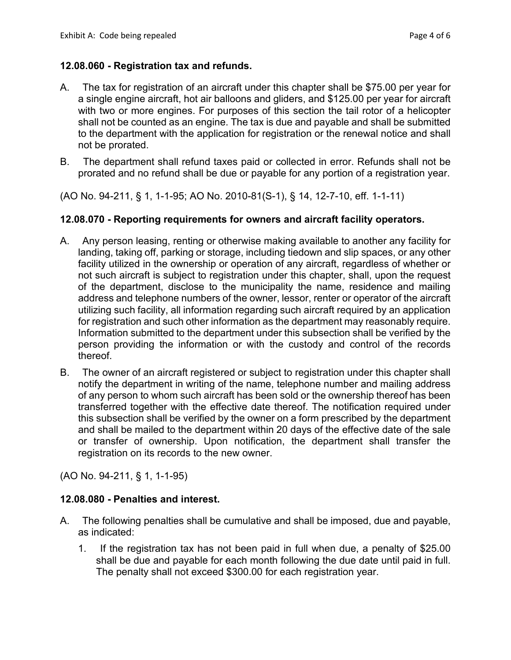#### **12.08.060 - Registration tax and refunds.**

- A. The tax for registration of an aircraft under this chapter shall be \$75.00 per year for a single engine aircraft, hot air balloons and gliders, and \$125.00 per year for aircraft with two or more engines. For purposes of this section the tail rotor of a helicopter shall not be counted as an engine. The tax is due and payable and shall be submitted to the department with the application for registration or the renewal notice and shall not be prorated.
- B. The department shall refund taxes paid or collected in error. Refunds shall not be prorated and no refund shall be due or payable for any portion of a registration year.

(AO No. 94-211, § 1, 1-1-95; AO No. 2010-81(S-1), § 14, 12-7-10, eff. 1-1-11)

#### **12.08.070 - Reporting requirements for owners and aircraft facility operators.**

- A. Any person leasing, renting or otherwise making available to another any facility for landing, taking off, parking or storage, including tiedown and slip spaces, or any other facility utilized in the ownership or operation of any aircraft, regardless of whether or not such aircraft is subject to registration under this chapter, shall, upon the request of the department, disclose to the municipality the name, residence and mailing address and telephone numbers of the owner, lessor, renter or operator of the aircraft utilizing such facility, all information regarding such aircraft required by an application for registration and such other information as the department may reasonably require. Information submitted to the department under this subsection shall be verified by the person providing the information or with the custody and control of the records thereof.
- B. The owner of an aircraft registered or subject to registration under this chapter shall notify the department in writing of the name, telephone number and mailing address of any person to whom such aircraft has been sold or the ownership thereof has been transferred together with the effective date thereof. The notification required under this subsection shall be verified by the owner on a form prescribed by the department and shall be mailed to the department within 20 days of the effective date of the sale or transfer of ownership. Upon notification, the department shall transfer the registration on its records to the new owner.

(AO No. 94-211, § 1, 1-1-95)

#### **12.08.080 - Penalties and interest.**

- A. The following penalties shall be cumulative and shall be imposed, due and payable, as indicated:
	- 1. If the registration tax has not been paid in full when due, a penalty of \$25.00 shall be due and payable for each month following the due date until paid in full. The penalty shall not exceed \$300.00 for each registration year.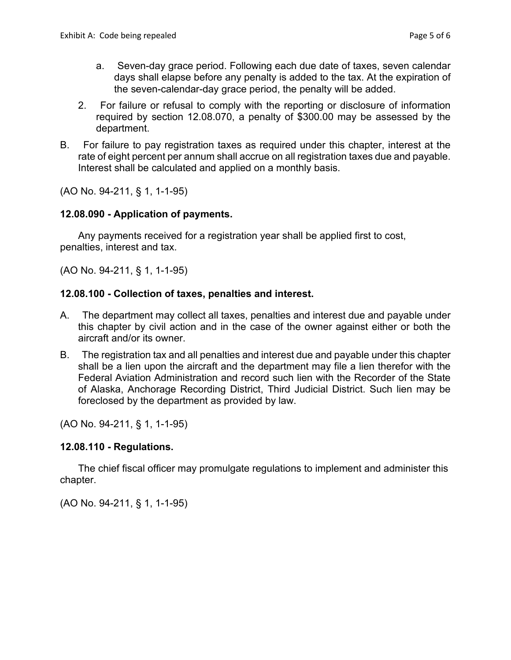- a. Seven-day grace period. Following each due date of taxes, seven calendar days shall elapse before any penalty is added to the tax. At the expiration of the seven-calendar-day grace period, the penalty will be added.
- 2. For failure or refusal to comply with the reporting or disclosure of information required by section 12.08.070, a penalty of \$300.00 may be assessed by the department.
- B. For failure to pay registration taxes as required under this chapter, interest at the rate of eight percent per annum shall accrue on all registration taxes due and payable. Interest shall be calculated and applied on a monthly basis.

(AO No. 94-211, § 1, 1-1-95)

#### **12.08.090 - Application of payments.**

Any payments received for a registration year shall be applied first to cost, penalties, interest and tax.

(AO No. 94-211, § 1, 1-1-95)

### **12.08.100 - Collection of taxes, penalties and interest.**

- A. The department may collect all taxes, penalties and interest due and payable under this chapter by civil action and in the case of the owner against either or both the aircraft and/or its owner.
- B. The registration tax and all penalties and interest due and payable under this chapter shall be a lien upon the aircraft and the department may file a lien therefor with the Federal Aviation Administration and record such lien with the Recorder of the State of Alaska, Anchorage Recording District, Third Judicial District. Such lien may be foreclosed by the department as provided by law.

(AO No. 94-211, § 1, 1-1-95)

#### **12.08.110 - Regulations.**

The chief fiscal officer may promulgate regulations to implement and administer this chapter.

(AO No. 94-211, § 1, 1-1-95)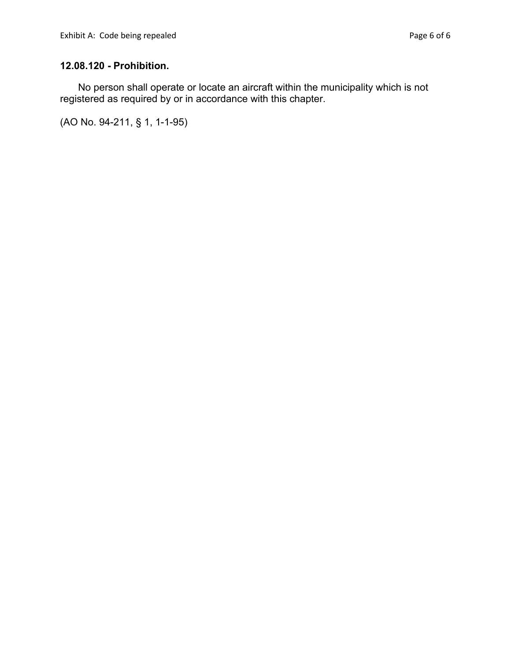### **12.08.120 - Prohibition.**

No person shall operate or locate an aircraft within the municipality which is not registered as required by or in accordance with this chapter.

(AO No. 94-211, § 1, 1-1-95)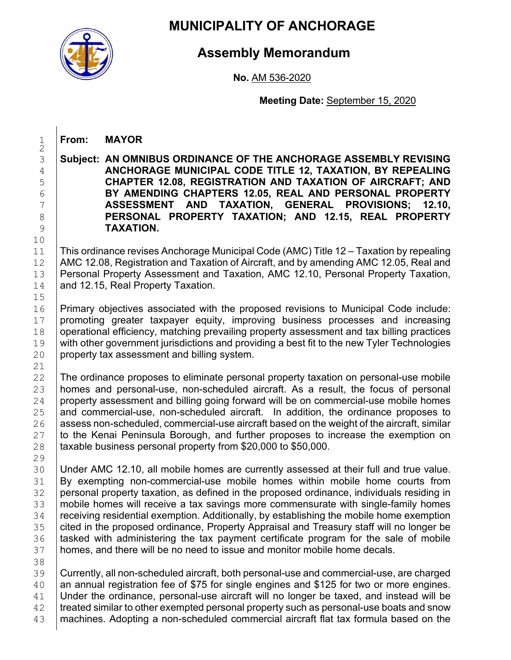

1 **From: MAYOR**

# **MUNICIPALITY OF ANCHORAGE**

# **Assembly Memorandum**

**No.** AM 536-2020

**Meeting Date:** September 15, 2020

 $\frac{1}{2}$ 10<br>11  $\frac{15}{16}$ 21<br>22 29<br>30

38<br>39

3 **Subject: AN OMNIBUS ORDINANCE OF THE ANCHORAGE ASSEMBLY REVISING**  4 **ANCHORAGE MUNICIPAL CODE TITLE 12, TAXATION, BY REPEALING**  5 **CHAPTER 12.08, REGISTRATION AND TAXATION OF AIRCRAFT; AND**  6 **BY AMENDING CHAPTERS 12.05, REAL AND PERSONAL PROPERTY**  7 **ASSESSMENT AND TAXATION, GENERAL PROVISIONS; 12.10,**  8 **PERSONAL PROPERTY TAXATION; AND 12.15, REAL PROPERTY TAXATION.** 9 **TAXATION.** 11 This ordinance revises Anchorage Municipal Code (AMC) Title 12 – Taxation by repealing<br>12 AMC 12.08, Registration and Taxation of Aircraft, and by amending AMC 12.05, Real and 12 | AMC 12.08, Registration and Taxation of Aircraft, and by amending AMC 12.05, Real and<br>13 | Personal Property Assessment and Taxation, AMC 12.10, Personal Property Taxation, 13 Personal Property Assessment and Taxation, AMC 12.10, Personal Property Taxation, 14 and 12.15. Real Property Taxation. and 12.15, Real Property Taxation. 16 Primary objectives associated with the proposed revisions to Municipal Code include:<br>17 promoting greater taxpayer equity, improving business processes and increasing 17 promoting greater taxpayer equity, improving business processes and increasing 18 operational efficiency, matching prevailing property assessment and tax billing practices<br>19 with other government iurisdictions and providing a best fit to the new Tyler Technologies 19 with other government jurisdictions and providing a best fit to the new Tyler Technologies<br>20 property tax assessment and billing system. property tax assessment and billing system. 22 The ordinance proposes to eliminate personal property taxation on personal-use mobile<br>23 homes and personal-use, non-scheduled aircraft. As a result, the focus of personal 23 homes and personal-use, non-scheduled aircraft. As a result, the focus of personal <br>24 property assessment and billing going forward will be on commercial-use mobile homes 24 property assessment and billing going forward will be on commercial-use mobile homes  $25$  and commercial-use, non-scheduled aircraft. In addition, the ordinance proposes to 25 and commercial-use, non-scheduled aircraft. In addition, the ordinance proposes to  $26$  assess non-scheduled, commercial-use aircraft based on the weight of the aircraft, similar 26 assess non-scheduled, commercial-use aircraft based on the weight of the aircraft, similar to the Kenai Peninsula Borough, and further proposes to increase the exemption on 28  $\pm$  taxable business personal property from \$20,000 to \$50,000. 30 Under AMC 12.10, all mobile homes are currently assessed at their full and true value.<br>31 By exempting non-commercial-use mobile homes within mobile home courts from By exempting non-commercial-use mobile homes within mobile home courts from 32 personal property taxation, as defined in the proposed ordinance, individuals residing in <br>33 mobile homes will receive a tax savings more commensurate with single-family homes 33 | mobile homes will receive a tax savings more commensurate with single-family homes<br>34 | receiving residential exemption. Additionally, by establishing the mobile home exemption 34 receiving residential exemption. Additionally, by establishing the mobile home exemption<br>35 cited in the proposed ordinance, Property Appraisal and Treasury staff will no longer be 35 cited in the proposed ordinance, Property Appraisal and Treasury staff will no longer be 36 stated with administering the tax payment certificate program for the sale of mobile 36 tasked with administering the tax payment certificate program for the sale of mobile homes, and there will be no need to issue and monitor mobile home decals. homes, and there will be no need to issue and monitor mobile home decals. Currently, all non-scheduled aircraft, both personal-use and commercial-use, are charged 40 an annual registration fee of \$75 for single engines and \$125 for two or more engines.<br>41 Under the ordinance, personal-use aircraft will no longer be taxed, and instead will be Under the ordinance, personal-use aircraft will no longer be taxed, and instead will be 42 treated similar to other exempted personal property such as personal-use boats and snow 43 | machines. Adopting a non-scheduled commercial aircraft flat tax formula based on the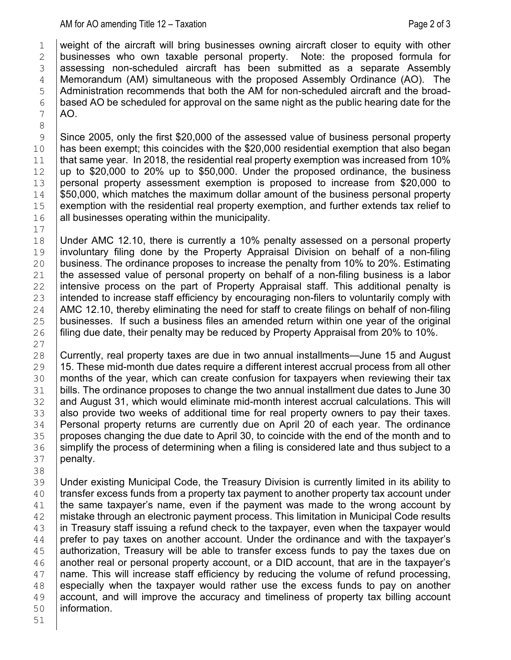1 weight of the aircraft will bring businesses owning aircraft closer to equity with other<br>2 businesses who own taxable personal property. Note: the proposed formula for  $2$  businesses who own taxable personal property.<br> $3$  assessing non-scheduled aircraft has been subr assessing non-scheduled aircraft has been submitted as a separate Assembly 4 Memorandum (AM) simultaneous with the proposed Assembly Ordinance (AO). The Administration recommends that both the AM for non-scheduled aircraft and the broad- $5$  Administration recommends that both the AM for non-scheduled aircraft and the broad-<br>6 based AO be scheduled for approval on the same night as the public hearing date for the  $\begin{array}{c|c} 6 & based \ AO \ be \ scheduled \ for \ approval on the same \ night as the public hearing date for the \ AO. \end{array}$ AO.

8<br>9 9 Since 2005, only the first \$20,000 of the assessed value of business personal property<br>10 has been exempt; this coincides with the \$20,000 residential exemption that also began 10 Aas been exempt; this coincides with the \$20,000 residential exemption that also began<br>11 that same year. In 2018, the residential real property exemption was increased from 10% that same year. In 2018, the residential real property exemption was increased from 10% 12 | up to \$20,000 to 20% up to \$50,000. Under the proposed ordinance, the business <br>13 | personal property assessment exemption is proposed to increase from \$20,000 to 13 personal property assessment exemption is proposed to increase from \$20,000 to  $14$  \$50,000, which matches the maximum dollar amount of the business personal property  $14$  \$50,000, which matches the maximum dollar amount of the business personal property exemption with the residential real property exemption, and further extends tax relief to 15 exemption with the residential real property exemption, and further extends tax relief to  $16$  all businesses operating within the municipality. all businesses operating within the municipality.

 $\begin{array}{c} 17 \\ 18 \end{array}$ 18 | Under AMC 12.10, there is currently a 10% penalty assessed on a personal property<br>19 | involuntary filing done by the Property Appraisal Division on behalf of a non-filing 19 involuntary filing done by the Property Appraisal Division on behalf of a non-filing<br>20 business. The ordinance proposes to increase the penalty from 10% to 20%. Estimating 20 business. The ordinance proposes to increase the penalty from 10% to 20%. Estimating  $21$  the assessed value of personal property on behalf of a non-filing business is a labor the assessed value of personal property on behalf of a non-filing business is a labor 22 intensive process on the part of Property Appraisal staff. This additional penalty is  $23$  intended to increase staff efficiency by encouraging non-filers to voluntarily comply with intended to increase staff efficiency by encouraging non-filers to voluntarily comply with 24 AMC 12.10, thereby eliminating the need for staff to create filings on behalf of non-filing  $25$  businesses. If such a business files an amended return within one year of the original 25 businesses. If such a business files an amended return within one year of the original  $26$  filing due date, their penalty may be reduced by Property Appraisal from 20% to 10%. filing due date, their penalty may be reduced by Property Appraisal from 20% to 10%.

 $\begin{array}{c} 27 \\ 28 \end{array}$ 28 Currently, real property taxes are due in two annual installments—June 15 and August<br>29 15. These mid-month due dates require a different interest accrual process from all other  $29$  | 15. These mid-month due dates require a different interest accrual process from all other  $30$  | months of the year, which can create confusion for taxpayers when reviewing their tax 30 months of the year, which can create confusion for taxpayers when reviewing their tax<br>31 bills. The ordinance proposes to change the two annual installment due dates to June 30 bills. The ordinance proposes to change the two annual installment due dates to June 30 32 and August 31, which would eliminate mid-month interest accrual calculations. This will<br>33 also provide two weeks of additional time for real property owners to pay their taxes. also provide two weeks of additional time for real property owners to pay their taxes. 34 Personal property returns are currently due on April 20 of each year. The ordinance<br>35 proposes changing the due date to April 30, to coincide with the end of the month and to 35 proposes changing the due date to April 30, to coincide with the end of the month and to <br>36 simplify the process of determining when a filing is considered late and thus subject to a 36 simplify the process of determining when a filing is considered late and thus subject to a sample penalty. penalty.

38<br>39 39 | Under existing Municipal Code, the Treasury Division is currently limited in its ability to <br>40 | transfer excess funds from a property tax payment to another property tax account under  $40$  transfer excess funds from a property tax payment to another property tax account under  $41$  the same taxpayer's name, even if the payment was made to the wrong account by the same taxpayer's name, even if the payment was made to the wrong account by  $\frac{42}{10}$  mistake through an electronic payment process. This limitation in Municipal Code results<br> $\frac{43}{10}$  in Treasury staff issuing a refund check to the taxpayer, even when the taxpayer would 43 in Treasury staff issuing a refund check to the taxpayer, even when the taxpayer would  $44$  prefer to pay taxes on another account. Under the ordinance and with the taxpayer's  $45$  authorization. Treasury will be able to transfer excess funds to pay the taxes due on  $45$  authorization, Treasury will be able to transfer excess funds to pay the taxes due on <br>46 another real or personal property account, or a DID account, that are in the taxpayer's another real or personal property account, or a DID account, that are in the taxpayer's  $47$  name. This will increase staff efficiency by reducing the volume of refund processing, <br>48 especially when the taxpayer would rather use the excess funds to pay on another  $48$  especially when the taxpayer would rather use the excess funds to pay on another  $49$  account, and will improve the accuracy and timeliness of property tax billing account  $49$  account, and will improve the accuracy and timeliness of property tax billing account  $50$  information. information.

51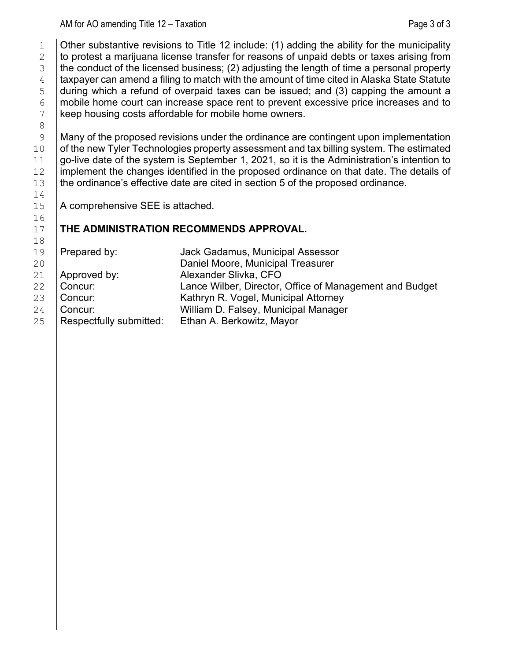1  $\vert$  Other substantive revisions to Title 12 include: (1) adding the ability for the municipality<br>2  $\vert$  to protest a marijuana license transfer for reasons of unpaid debts or taxes arising from 2 to protest a marijuana license transfer for reasons of unpaid debts or taxes arising from  $\frac{3}{1}$  the conduct of the licensed business; (2) adjusting the length of time a personal property  $3$  the conduct of the licensed business; (2) adjusting the length of time a personal property<br>  $4$  taxpayer can amend a filing to match with the amount of time cited in Alaska State Statute  $4$   $\mid$  taxpayer can amend a filing to match with the amount of time cited in Alaska State Statute<br> $5$   $\mid$  during which a refund of overpaid taxes can be issued; and (3) capping the amount a 5 during which a refund of overpaid taxes can be issued; and (3) capping the amount a<br>6 mobile home court can increase space rent to prevent excessive price increases and to  $6$  mobile home court can increase space rent to prevent excessive price increases and to keep housing costs affordable for mobile home owners. keep housing costs affordable for mobile home owners.

8<br>9  $\begin{array}{c} 9 \end{array}$  Many of the proposed revisions under the ordinance are contingent upon implementation<br>10 of the new Tyler Technologies property assessment and tax billing system. The estimated 10 of the new Tyler Technologies property assessment and tax billing system. The estimated 11 oo-live date of the system is September 1, 2021, so it is the Administration's intention to  $\begin{array}{c|c|c|c|c} 11 & \text{go-live date of the system is September 1, 2021, so it is the Administration's intention to  
12 & implement the changes identified in the proposed ordinance on that date. The details of$ 12 implement the changes identified in the proposed ordinance on that date. The details of  $13$  the ordinance's effective date are cited in section 5 of the proposed ordinance. the ordinance's effective date are cited in section 5 of the proposed ordinance.

A comprehensive SEE is attached.

 $\begin{array}{c} 14 \\ 15 \end{array}$ 

16<br>17

### 17 **THE ADMINISTRATION RECOMMENDS APPROVAL.**

| Prepared by:            | Jack Gadamus, Municipal Assessor                        |
|-------------------------|---------------------------------------------------------|
|                         | Daniel Moore, Municipal Treasurer                       |
| Approved by:            | Alexander Slivka, CFO                                   |
| Concur:                 | Lance Wilber, Director, Office of Management and Budget |
| Concur:                 | Kathryn R. Vogel, Municipal Attorney                    |
| Concur:                 | William D. Falsey, Municipal Manager                    |
| Respectfully submitted: | Ethan A. Berkowitz, Mayor                               |
|                         |                                                         |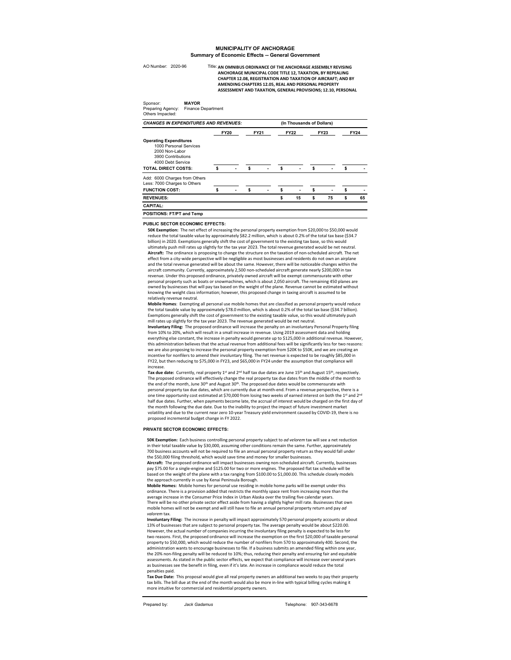#### **MUNICIPALITY OF ANCHORAGE Summary of Economic Effects -- General Government**

AO Number: 2020-96 Title:

Sponsor: **MAYOR** Preparing Agency: Finance Department

Title: AN OMNIBUS ORDINANCE OF THE ANCHORAGE ASSEMBLY REVISING **ANCHORAGE MUNICIPAL CODE TITLE 12, TAXATION, BY REPEALING CHAPTER 12.08, REGISTRATION AND TAXATION OF AIRCRAFT; AND BY AMENDING CHAPTERS 12.05, REAL AND PERSONAL PROPERTY ASSESSMENT AND TAXATION, GENERAL PROVISIONS; 12.10, PERSONAL** 

| Others Impacted:                                                                                                                                   |             |  |             |  |             |                           |             |                          |             |    |  |
|----------------------------------------------------------------------------------------------------------------------------------------------------|-------------|--|-------------|--|-------------|---------------------------|-------------|--------------------------|-------------|----|--|
| <b>CHANGES IN EXPENDITURES AND REVENUES:</b>                                                                                                       |             |  |             |  |             | (In Thousands of Dollars) |             |                          |             |    |  |
|                                                                                                                                                    | <b>FY20</b> |  | <b>FY21</b> |  | <b>FY22</b> |                           | <b>FY23</b> |                          | <b>FY24</b> |    |  |
| <b>Operating Expenditures</b><br>1000 Personal Services<br>2000 Non-Labor<br>3900 Contributions<br>4000 Debt Service<br><b>TOTAL DIRECT COSTS:</b> |             |  | \$          |  |             |                           | \$          |                          |             |    |  |
| Add: 6000 Charges from Others<br>Less: 7000 Charges to Others                                                                                      |             |  |             |  |             |                           |             |                          |             |    |  |
| <b>FUNCTION COST:</b>                                                                                                                              |             |  | s           |  | Ŝ           | $\blacksquare$            | \$          | $\overline{\phantom{0}}$ | \$          |    |  |
| <b>REVENUES:</b>                                                                                                                                   |             |  |             |  | Ŝ           | 15                        | \$          | 75                       | \$          | 65 |  |
| <b>CAPITAL:</b>                                                                                                                                    |             |  |             |  |             |                           |             |                          |             |    |  |
| POSITIONS: FT/PT and Temp                                                                                                                          |             |  |             |  |             |                           |             |                          |             |    |  |

**PUBLIC SECTOR ECONOMIC EFFECTS:**

**50K Exemption:** The net effect of increasing the personal property exemption from \$20,000 to \$50,000 would<br>reduce the total taxable value by approximately \$82.2 million, which is about 0.2% of the total tax base (\$34.7 billion) in 2020. Exemptions generally shift the cost of government to the existing tax base, so this would ultimately push mill rates up slightly for the tax year 2023. The total revenue generated would be net neutral. **Aircraft:** The ordinance is proposing to change the structure on the taxation of non-scheduled aircraft. The net effect from a city-wide perspective will be negligible as most businesses and residents do not own an airplane and the total revenue generated will be about the same. However, there will be noticeable changes within the aircraft community. Currently, approximately 2,500 non-scheduled aircraft generate nearly \$200,000 in tax revenue. Under this proposed ordinance, privately owned aircraft will be exempt commensurate with other personal property such as boats or snowmachines, which is about 2,050 aircraft. The remaining 450 planes are owned by businesses that will pay tax based on the weight of the plane. Revenue cannot be estimated without knowing the weight class information; however, this proposed change in taxing aircraft is assumed to be relatively revenue neutral.

**Mobile Homes**: Exempting all personal use mobile homes that are classified as personal property would reduce the total taxable value by approximately \$78.0 million, which is about 0.2% of the total tax base (\$34.7 billion). Exemptions generally shift the cost of government to the existing taxable value, so this would ultimately push mill rates up slightly for the tax year 2023. The revenue generated would be net neutral.

**Involuntary Filing:** The proposed ordinance will increase the penalty on an involuntary Personal Property filing<br>from 10% to 20%, which will result in a small increase in revenue. Using 2019 assessment data and holding everything else constant, the increase in penalty would generate up to \$125,000 in additional revenue. However, this administration believes that the actual revenue from additional fees will be significantly less for two reasons: we are also proposing to increase the personal property exemption from \$20K to \$50K, and we are creating an incentive for nonfilers to amend their involuntary filing. The net revenue is expected to be roughly \$85,000 in FY22, but then reducing to \$75,000 in FY23, and \$65,000 in FY24 under the assumption that compliance will increase.<br>**Tax due date:** Currently, real property 1<sup>st</sup> and 2<sup>nd</sup> half tax due dates are June 15<sup>th</sup> and August 15<sup>th</sup>, respectively.

The proposed ordinance will effectively change the real property tax due dates from the middle of the month to the end of the month, June 30th and August 30th. The proposed due dates would be commensurate with<br>personal property tax due dates, which are currently due at month-end. From a revenue perspective, there is a one time opportunity cost estimated at \$70,000 from losing two weeks of earned interest on both the 1st and 2<sup>nd</sup> half due dates. Further, when payments become late, the accrual of interest would be charged on the first day of the month following the due date. Due to the inability to project the impact of future investment market volatility and due to the current near zero 10-year Treasury yield environment caused by COVID-19, there is no proposed incremental budget change in FY 2022.

#### **PRIVATE SECTOR ECONOMIC EFFECTS:**

**50K Exemption:** Each business controlling personal property subject to *ad velorem* tax will see a net reduction in their total taxable value by \$30,000, assuming other conditions remain the same. Further, approximately 700 business accounts will not be required to file an annual personal property return as they would fall under the \$50,000 filing threshold, which would save time and money for smaller businesses.

**Aircraft:** The proposed ordinance will impact businesses owning non-scheduled aircraft. Currently, businesses pay \$75.00 for a single-engine and \$125.00 for two or more engines. The proposed flat tax schedule will be based on the weight of the plane with a tax ranging from \$100.00 to \$1,000.00. This schedule closely models the approach currently in use by Kenai Peninsula Borough.

**Mobile Homes:** Mobile homes for personal use residing in mobile home parks will be exempt under this ordinance. There is a provision added that restricts the monthly space rent from increasing more than the average increase in the Consumer Price Index in Urban Alaska over the trailing five calendar years. There will be no other private sector effect aside from having a slightly higher mill rate. Businesses that own<br>mobile homes will not be exempt and will still have to file an annual personal property return and pay *ad valorem* tax.

**Involuntary Filing:** The increase in penalty will impact approximately 570 personal property accounts or about 13% of businesses that are subject to personal property tax. The average penalty would be about \$220.00. However, the actual number of companies incurring the involuntary filing penalty is expected to be less for two reasons. First, the proposed ordinance will increase the exemption on the first \$20,000 of taxable personal property to \$50,000, which would reduce the number of nonfilers from 570 to approximately 400. Second, the administration wants to encourage businesses to file. If a business submits an amended filing within one year, the 20% non-filing penalty will be reduced to 10%; thus, reducing their penalty and ensuring fair and equitable assessments. As stated in the public sector effects, we expect that compliance will increase over several years as businesses see the benefit in filing, even if it's late. An increase in compliance would reduce the total penalties paid.

**Tax Due Date:** This proposal would give all real property owners an additional two weeks to pay their property tax bills. The bill due at the end of the month would also be more in-line with typical billing cycles making it more intuitive for commercial and residential property owners.

Prepared by: *Jack Gadamus* **Telephone: Telephone: Telephone:**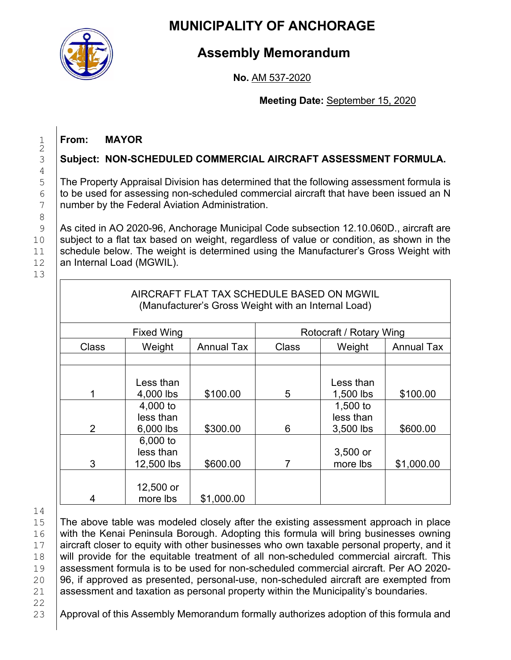

# **MUNICIPALITY OF ANCHORAGE**

# **Assembly Memorandum**

## **No.** AM 537-2020

## **Meeting Date:** September 15, 2020

# 1 **From: MAYOR**

# 3 **Subject: NON-SCHEDULED COMMERCIAL AIRCRAFT ASSESSMENT FORMULA.**

5 The Property Appraisal Division has determined that the following assessment formula is<br>6 The used for assessing non-scheduled commercial aircraft that have been issued an N  $6$  to be used for assessing non-scheduled commercial aircraft that have been issued an N<br>
Thumber by the Federal Aviation Administration. number by the Federal Aviation Administration.

9 As cited in AO 2020-96, Anchorage Municipal Code subsection 12.10.060D., aircraft are 10 Subject to a flat tax based on weight, regardless of value or condition, as shown in the schedule below. The weight is determined using the Manufacturer's Gross Weight with 11 Schedule below. The weight is determined using the Manufacturer's Gross Weight with  $12$  an Internal Load (MGWIL). an Internal Load (MGWIL).

13

 $\frac{1}{2}$ 

 $\frac{4}{5}$ 

8<br>9

| AIRCRAFT FLAT TAX SCHEDULE BASED ON MGWIL<br>(Manufacturer's Gross Weight with an Internal Load) |                                     |                   |                         |                                    |                   |  |  |  |  |  |  |  |
|--------------------------------------------------------------------------------------------------|-------------------------------------|-------------------|-------------------------|------------------------------------|-------------------|--|--|--|--|--|--|--|
|                                                                                                  | <b>Fixed Wing</b>                   |                   | Rotocraft / Rotary Wing |                                    |                   |  |  |  |  |  |  |  |
| Class                                                                                            | Weight                              | <b>Annual Tax</b> | Class                   | Weight                             | <b>Annual Tax</b> |  |  |  |  |  |  |  |
|                                                                                                  |                                     |                   |                         |                                    |                   |  |  |  |  |  |  |  |
|                                                                                                  | Less than<br>4,000 lbs              | \$100.00          | 5                       | Less than<br>1,500 lbs             | \$100.00          |  |  |  |  |  |  |  |
| $\overline{2}$                                                                                   | 4,000 to<br>less than<br>6,000 lbs  | \$300.00          | 6                       | 1,500 to<br>less than<br>3,500 lbs | \$600.00          |  |  |  |  |  |  |  |
| 3                                                                                                | 6,000 to<br>less than<br>12,500 lbs | \$600.00          | 7                       | $3,500$ or<br>more lbs             | \$1,000.00        |  |  |  |  |  |  |  |
| 4                                                                                                | 12,500 or<br>more lbs               | \$1,000.00        |                         |                                    |                   |  |  |  |  |  |  |  |

 $\begin{array}{c} 14 \\ 15 \end{array}$ 

15 The above table was modeled closely after the existing assessment approach in place<br>16 Twith the Kenai Peninsula Borough. Adopting this formula will bring businesses owning 16 with the Kenai Peninsula Borough. Adopting this formula will bring businesses owning<br>17 aircraft closer to equity with other businesses who own taxable personal property, and it 17 aircraft closer to equity with other businesses who own taxable personal property, and it 18 alwill provide for the equitable treatment of all non-scheduled commercial aircraft. This 18 will provide for the equitable treatment of all non-scheduled commercial aircraft. This<br>19 assessment formula is to be used for non-scheduled commercial aircraft. Per AO 2020-19 assessment formula is to be used for non-scheduled commercial aircraft. Per AO 2020-<br>20 96. if approved as presented, personal-use, non-scheduled aircraft are exempted from 20  $\left| \begin{array}{c} 96, \text{ if approved as presented, personal-use, non-scheduled aircraft are exempted from} \\ \text{assessment and taxation as personal property within the Municipality's boundaries.} \end{array} \right.$ assessment and taxation as personal property within the Municipality's boundaries.

22<br>23

Approval of this Assembly Memorandum formally authorizes adoption of this formula and